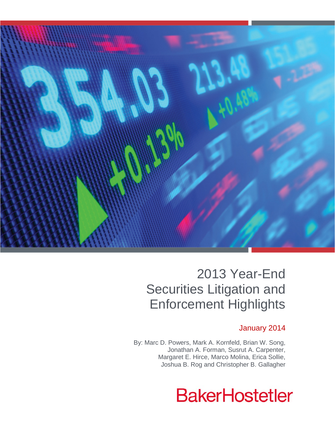

# 2013 Year-End Securities Litigation and Enforcement Highlights

# January 2014

By: Marc D. Powers, Mark A. Kornfeld, Brian W. Song, Jonathan A. Forman, Susrut A. Carpenter, Margaret E. Hirce, Marco Molina, Erica Sollie, Joshua B. Rog and Christopher B. Gallagher

# **BakerHostetler**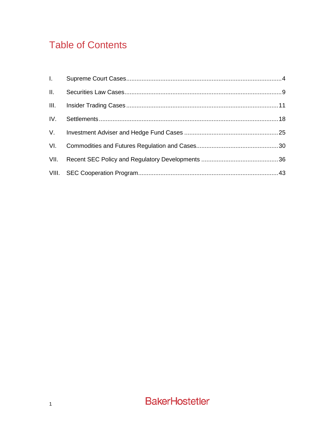# **Table of Contents**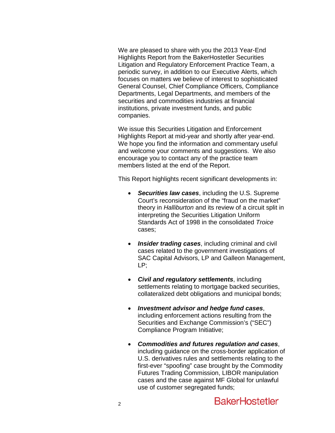We are pleased to share with you the 2013 Year-End Highlights Report from the BakerHostetler Securities Litigation and Regulatory Enforcement Practice Team, a periodic survey, in addition to our Executive Alerts, which focuses on matters we believe of interest to sophisticated General Counsel, Chief Compliance Officers, Compliance Departments, Legal Departments, and members of the securities and commodities industries at financial institutions, private investment funds, and public companies.

We issue this Securities Litigation and Enforcement Highlights Report at mid-year and shortly after year-end. We hope you find the information and commentary useful and welcome your comments and suggestions. We also encourage you to contact any of the practice team members listed at the end of the Report.

This Report highlights recent significant developments in:

- *Securities law cases*, including the U.S. Supreme Court's reconsideration of the "fraud on the market" theory in *Halliburton* and its review of a circuit split in interpreting the Securities Litigation Uniform Standards Act of 1998 in the consolidated *Troice* cases;
- **Insider trading cases**, including criminal and civil cases related to the government investigations of SAC Capital Advisors, LP and Galleon Management, LP;
- *Civil and regulatory settlements*, including settlements relating to mortgage backed securities, collateralized debt obligations and municipal bonds;
- *Investment advisor and hedge fund cases*, including enforcement actions resulting from the Securities and Exchange Commission's ("SEC") Compliance Program Initiative;
- *Commodities and futures regulation and cases*, including guidance on the cross-border application of U.S. derivatives rules and settlements relating to the first-ever "spoofing" case brought by the Commodity Futures Trading Commission, LIBOR manipulation cases and the case against MF Global for unlawful use of customer segregated funds;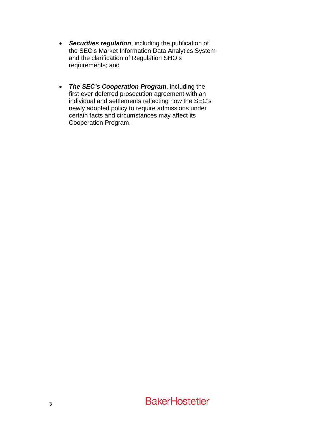- *Securities regulation*, including the publication of the SEC's Market Information Data Analytics System and the clarification of Regulation SHO's requirements; and
- *The SEC's Cooperation Program*, including the first ever deferred prosecution agreement with an individual and settlements reflecting how the SEC's newly adopted policy to require admissions under certain facts and circumstances may affect its Cooperation Program.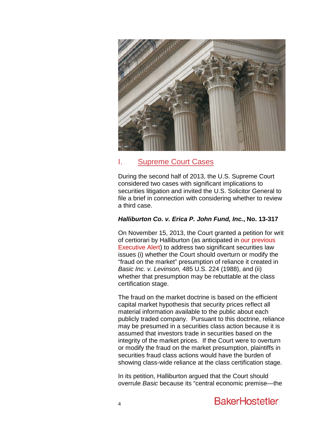

# I. Supreme Court Cases

During the second half of 2013, the U.S. Supreme Court considered two cases with significant implications to securities litigation and invited the U.S. Solicitor General to file a brief in connection with considering whether to review a third case.

# *Halliburton Co. v. Erica P. John Fund, Inc.***, No. 13-317**

On November 15, 2013, the Court granted a petition for writ of certiorari by Halliburton (as anticipated in [our previous](http://www.bakerlaw.com/alerts/Basic-Is-Anything-But-Courts-Continue-to-Wrangle-with-the-Fraud-on-the-Market-Presumption-9-30-2013)  [Executive Alert\)](http://www.bakerlaw.com/alerts/Basic-Is-Anything-But-Courts-Continue-to-Wrangle-with-the-Fraud-on-the-Market-Presumption-9-30-2013) to address two significant securities law issues (i) whether the Court should overturn or modify the "fraud on the market" presumption of reliance it created in *[Basic Inc. v. Levinson,](http://www.bloomberglaw.com/public/document/Basic_Inc_v_Levinson_485_US_224_108_S_Ct_978_99_L_Ed_2d_194_4_EXC/2)* 485 U.S. 224 (1988), and (ii) whether that presumption may be rebuttable at the class certification stage.

<span id="page-4-0"></span>The fraud on the market doctrine is based on the efficient capital market hypothesis that security prices reflect all material information available to the public about each publicly traded company. Pursuant to this doctrine, reliance may be presumed in a securities class action because it is assumed that investors trade in securities based on the integrity of the market prices. If the Court were to overturn or modify the fraud on the market presumption, plaintiffs in securities fraud class actions would have the burden of showing class-wide reliance at the class certification stage.

In its petition, Halliburton argued that the Court should overrule *Basic* because its "central economic premise—the

# **BakerHostetler**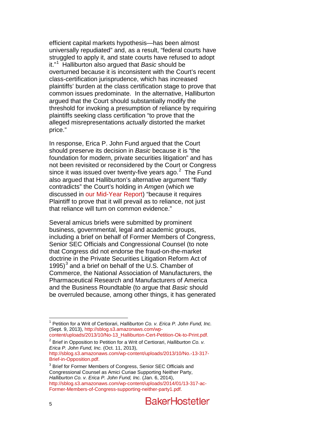efficient capital markets hypothesis—has been almost universally repudiated" and, as a result, "federal courts have struggled to apply it, and state courts have refused to adopt it."[1](#page-4-0) Halliburton also argued that *Basic* should be overturned because it is inconsistent with the Court's recent class-certification jurisprudence, which has increased plaintiffs' burden at the class certification stage to prove that common issues predominate. In the alternative, Halliburton argued that the Court should substantially modify the threshold for invoking a presumption of reliance by requiring plaintiffs seeking class certification "to prove that the alleged misrepresentations *actually* distorted the market price."

In response, Erica P. John Fund argued that the Court should preserve its decision in *Basic* because it is "the foundation for modern, private securities litigation" and has not been revisited or reconsidered by the Court or Congress since it was issued over twenty-five years ago. $2$  The Fund also argued that Halliburton's alternative argument "flatly contradicts" the Court's holding in *Amgen* (which we discussed in [our Mid-Year Report\)](http://www.bakerlaw.com/files/Uploads/Documents/News/Alerts/Sec%20Lit/2013SecuritiesLitigationMidYearUpdate.pdf) "because it requires Plaintiff to prove that it will prevail as to reliance, not just that reliance will turn on common evidence."

Several amicus briefs were submitted by prominent business, governmental, legal and academic groups, including a brief on behalf of Former Members of Congress, Senior SEC Officials and Congressional Counsel (to note that Congress did not endorse the fraud-on-the-market doctrine in the Private Securities Litigation Reform Act of 1995) $3$  and a brief on behalf of the U.S. Chamber of Commerce, the National Association of Manufacturers, the Pharmaceutical Research and Manufacturers of America and the Business Roundtable (to argue that *Basic* should be overruled because, among other things, it has generated

 <sup>1</sup> Petition for a Writ of Certiorari, *Halliburton Co. v. Erica P. John Fund, Inc.* (Sept. 9, 2013), http://sblog.s3.amazonaws.com/wp-<br>content/uploads/2013/10/No-13 Halliburton-Cert-Petition-Ok-to-Print.pdf.

<span id="page-5-2"></span><span id="page-5-0"></span><sup>&</sup>lt;sup>[2](http://sblog.s3.amazonaws.com/wp-content/uploads/2013/10/No-13_Halliburton-Cert-Petition-Ok-to-Print.pdf)</sup> Brief in Opposition to Petition for a Writ of Certiorari, *Halliburton Co. v. Erica P. John Fund, Inc.* (Oct. 11, 2013),

[http://sblog.s3.amazonaws.com/wp-content/uploads/2013/10/No.-13-317-](http://sblog.s3.amazonaws.com/wp-content/uploads/2013/10/No.-13-317-Brief-in-Opposition.pdf)

<span id="page-5-1"></span><sup>&</sup>lt;sup>[3](http://sblog.s3.amazonaws.com/wp-content/uploads/2013/10/No.-13-317-Brief-in-Opposition.pdf)</sup> Brief for Former Members of Congress, Senior SEC Officials and Congressional Counsel as Amici Curiae Supporting Neither Party, *Halliburton Co. v. Erica P. John Fund, Inc.* (Jan. 6, 2014), [http://sblog.s3.amazonaws.com/wp-content/uploads/2014/01/13-317-ac-](http://sblog.s3.amazonaws.com/wp-content/uploads/2014/01/13-317-ac-Former-Members-of-Congress-supporting-neither-party1.pdf)[Former-Members-of-Congress-supporting-neither-party1.pdf.](http://sblog.s3.amazonaws.com/wp-content/uploads/2014/01/13-317-ac-Former-Members-of-Congress-supporting-neither-party1.pdf)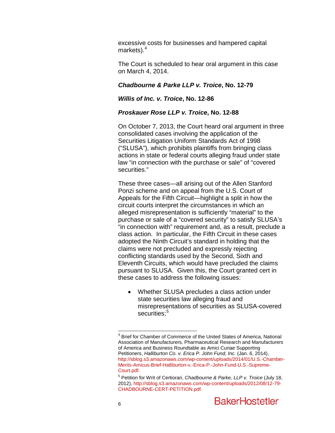excessive costs for businesses and hampered capital markets). $4$ 

The Court is scheduled to hear oral argument in this case on March 4, 2014.

#### *Chadbourne & Parke LLP v. Troice***, No. 12-79**

#### *Willis of Inc. v. Troice***, No. 12-86**

#### *Proskauer Rose LLP v. Troice***, No. 12-88**

On October 7, 2013, the Court heard oral argument in three consolidated cases involving the application of the Securities Litigation Uniform Standards Act of 1998 ("SLUSA"), which prohibits plaintiffs from bringing class actions in state or federal courts alleging fraud under state law "in connection with the purchase or sale" of "covered securities."

These three cases—all arising out of the Allen Stanford Ponzi scheme and on appeal from the U.S. Court of Appeals for the Fifth Circuit—highlight a split in how the circuit courts interpret the circumstances in which an alleged misrepresentation is sufficiently "material" to the purchase or sale of a "covered security" to satisfy SLUSA's "in connection with" requirement and, as a result, preclude a class action. In particular, the Fifth Circuit in these cases adopted the Ninth Circuit's standard in holding that the claims were not precluded and expressly rejecting conflicting standards used by the Second, Sixth and Eleventh Circuits, which would have precluded the claims pursuant to SLUSA. Given this, the Court granted cert in these cases to address the following issues:

• Whether SLUSA precludes a class action under state securities law alleging fraud and misrepresentations of securities as SLUSA-covered securities:<sup>[5](#page-6-0)</sup>

 $4$  Brief for Chamber of Commerce of the United States of America, National Association of Manufacturers, Pharmaceutical Research and Manufacturers of America and Business Roundtable as Amici Curiae Supporting Petitioners, *Halliburton Co. v. Erica P. John Fund, Inc.* (Jan. 6, 2014), [http://sblog.s3.amazonaws.com/wp-content/uploads/2014/01/U.S.-Chamber-](http://sblog.s3.amazonaws.com/wp-content/uploads/2014/01/U.S.-Chamber-Merits-Amicus-Brief-Halliburton-v.-Erica-P.-John-Fund-U.S.-Supreme-Court.pdf)[Merits-Amicus-Brief-Halliburton-v.-Erica-P.-John-Fund-U.S.-Supreme-](http://sblog.s3.amazonaws.com/wp-content/uploads/2014/01/U.S.-Chamber-Merits-Amicus-Brief-Halliburton-v.-Erica-P.-John-Fund-U.S.-Supreme-Court.pdf)

<span id="page-6-1"></span><span id="page-6-0"></span><sup>&</sup>lt;sup>[5](http://sblog.s3.amazonaws.com/wp-content/uploads/2014/01/U.S.-Chamber-Merits-Amicus-Brief-Halliburton-v.-Erica-P.-John-Fund-U.S.-Supreme-Court.pdf)</sup> Petition for Writ of Certiorari, *Chadbourne & Parke, LLP v. Troice* (July 18, 2012), [http://sblog.s3.amazonaws.com/wp-content/uploads/2012/08/12-79-](http://sblog.s3.amazonaws.com/wp-content/uploads/2012/08/12-79-CHADBOURNE-CERT-PETITION.pdf) [CHADBOURNE-CERT-PETITION.pdf](http://sblog.s3.amazonaws.com/wp-content/uploads/2012/08/12-79-CHADBOURNE-CERT-PETITION.pdf)*.*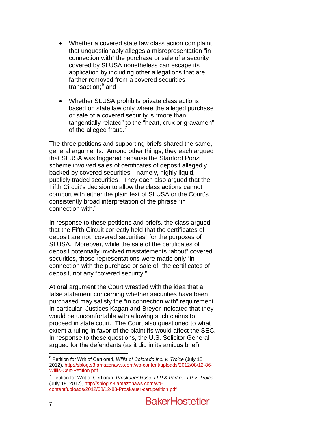- Whether a covered state law class action complaint that unquestionably alleges a misrepresentation "in connection with" the purchase or sale of a security covered by SLUSA nonetheless can escape its application by including other allegations that are farther removed from a covered securities transaction;<sup>[6](#page-6-1)</sup> and
- Whether SLUSA prohibits private class actions based on state law only where the alleged purchase or sale of a covered security is "more than tangentially related" to the "heart, crux or gravamen" of the alleged fraud.<sup>[7](#page-7-0)</sup>

The three petitions and supporting briefs shared the same, general arguments. Among other things, they each argued that SLUSA was triggered because the Stanford Ponzi scheme involved sales of certificates of deposit allegedly backed by covered securities—namely, highly liquid, publicly traded securities. They each also argued that the Fifth Circuit's decision to allow the class actions cannot comport with either the plain text of SLUSA or the Court's consistently broad interpretation of the phrase "in connection with."

In response to these petitions and briefs, the class argued that the Fifth Circuit correctly held that the certificates of deposit are not "covered securities" for the purposes of SLUSA. Moreover, while the sale of the certificates of deposit potentially involved misstatements "about" covered securities, those representations were made only "in connection with the purchase or sale of" the certificates of deposit, not any "covered security."

At oral argument the Court wrestled with the idea that a false statement concerning whether securities have been purchased may satisfy the "in connection with" requirement. In particular, Justices Kagan and Breyer indicated that they would be uncomfortable with allowing such claims to proceed in state court. The Court also questioned to what extent a ruling in favor of the plaintiffs would affect the SEC. In response to these questions, the U.S. Solicitor General argued for the defendants (as it did in its amicus brief)

<span id="page-7-1"></span> <sup>6</sup> Petition for Writ of Certiorari, *Willis of Colorado Inc. v. Troice* (July 18, 2012), [http://sblog.s3.amazonaws.com/wp-content/uploads/2012/08/12-86-](http://sblog.s3.amazonaws.com/wp-content/uploads/2012/08/12-86-Willis-Cert-Petition.pdf) [Willis-Cert-Petition.pdf](http://sblog.s3.amazonaws.com/wp-content/uploads/2012/08/12-86-Willis-Cert-Petition.pdf)*.* 

<span id="page-7-0"></span><sup>7</sup> Petition for Writ of Certiorari, *Proskauer Rose, LLP & Parke, LLP v. Troice*  (July 18, 2012)*,* [http://sblog.s3.amazonaws.com/wp](http://sblog.s3.amazonaws.com/wp-content/uploads/2012/08/12-88-Proskauer-cert.petition.pdf)[content/uploads/2012/08/12-88-Proskauer-cert.petition.pdf](http://sblog.s3.amazonaws.com/wp-content/uploads/2012/08/12-88-Proskauer-cert.petition.pdf)*.*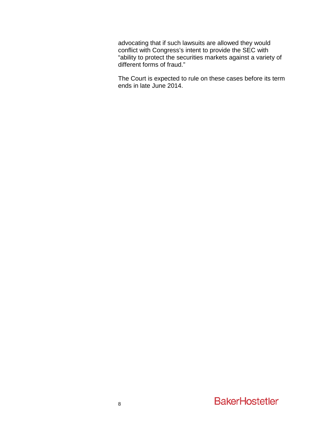advocating that if such lawsuits are allowed they would conflict with Congress's intent to provide the SEC with "ability to protect the securities markets against a variety of different forms of fraud."

The Court is expected to rule on these cases before its term ends in late June 2014.

# **BakerHostetler**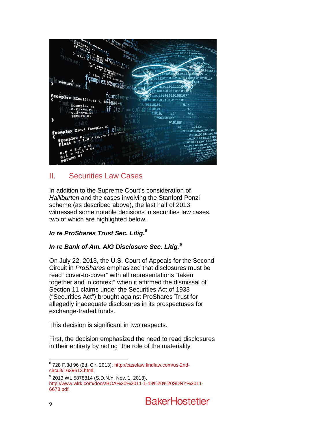

# II. Securities Law Cases

In addition to the Supreme Court's consideration of *Halliburton* and the cases involving the Stanford Ponzi scheme (as described above), the last half of 2013 witnessed some notable decisions in securities law cases, two of which are highlighted below.

# *In re ProShares Trust Sec. Litig***. [8](#page-7-1)**

# *In re Bank of Am. AIG Disclosure Sec. Litig.***[9](#page-9-0)**

On July 22, 2013, the U.S. Court of Appeals for the Second Circuit in *ProShares* emphasized that disclosures must be read "cover-to-cover" with all representations "taken together and in context" when it affirmed the dismissal of Section 11 claims under the Securities Act of 1933 ("Securities Act") brought against ProShares Trust for allegedly inadequate disclosures in its prospectuses for exchange-traded funds.

<span id="page-9-1"></span>This decision is significant in two respects.

First, the decision emphasized the need to read disclosures in their entirety by noting "the role of the materiality

 $8$  728 F.3d 96 (2d. Cir. 2013), http://caselaw.findlaw.com/us-2nd-<br>circuit/1639613.html.

<span id="page-9-0"></span> $9$  2013 WL 5878814 (S.D.N.Y. Nov. 1, 2013), [http://www.wlrk.com/docs/BOA%20%2011-1-13%20%20SDNY%2011-](http://www.wlrk.com/docs/BOA%20%2011-1-13%20%20SDNY%2011-6678.pdf) [6678.pdf.](http://www.wlrk.com/docs/BOA%20%2011-1-13%20%20SDNY%2011-6678.pdf)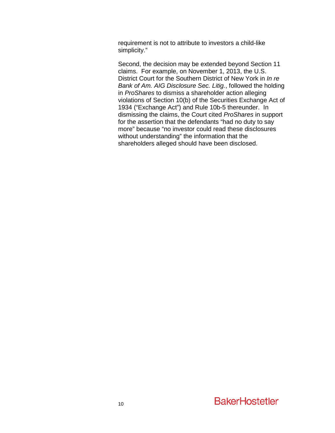requirement is not to attribute to investors a child-like simplicity."

Second, the decision may be extended beyond Section 11 claims. For example, on November 1, 2013, the U.S. District Court for the Southern District of New York in *In re Bank of Am. AIG Disclosure Sec. Litig.*, followed the holding in *ProShares* to dismiss a shareholder action alleging violations of Section 10(b) of the Securities Exchange Act of 1934 ("Exchange Act") and Rule 10b-5 thereunder. In dismissing the claims, the Court cited *ProShares* in support for the assertion that the defendants "had no duty to say more" because "no investor could read these disclosures without understanding" the information that the shareholders alleged should have been disclosed.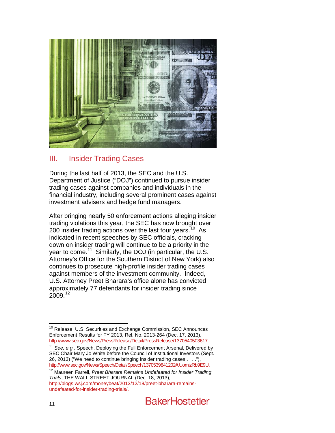

# III. Insider Trading Cases

During the last half of 2013, the SEC and the U.S. Department of Justice ("DOJ") continued to pursue insider trading cases against companies and individuals in the financial industry, including several prominent cases against investment advisers and hedge fund managers.

After bringing nearly 50 enforcement actions alleging insider trading violations this year, the SEC has now brought over 200 insider trading actions over the last four years.<sup>10</sup> As indicated in recent speeches by SEC officials, cracking down on insider trading will continue to be a priority in the year to come.<sup>11</sup> Similarly, the DOJ (in particular, the U.S. Attorney's Office for the Southern District of New York) also continues to prosecute high-profile insider trading cases against members of the investment community. Indeed, U.S. Attorney Preet Bharara's office alone has convicted approximately 77 defendants for insider trading since 2009.<sup>[12](#page-11-1)</sup>

<span id="page-11-2"></span><sup>&</sup>lt;sup>10</sup> Release, U.S. Securities and Exchange Commission, SEC Announces Enforcement Results for FY 2013, Rel. No. 2013-264 (Dec. 17, 2013), [http://www.sec.gov/News/PressRelease/Detail/PressRelease/1370540503617.](http://www.sec.gov/News/PressRelease/Detail/PressRelease/1370540503617)

<span id="page-11-0"></span><sup>&</sup>lt;sup>11</sup> See, e.g., Speech, Deploying the Full Enforcement Arsenal, Delivered by SEC Chair Mary Jo White before the Council of Institutional Investors (Sept. 26, 2013) ("We need to continue bringing insider trading cases . . . ."), [http://www.sec.gov/News/Speech/Detail/Speech/1370539841202#.UomizRb9E9U.](http://www.sec.gov/News/Speech/Detail/Speech/1370539841202#.UomizRb9E9U)

<span id="page-11-1"></span><sup>12</sup> Maureen Farrell, *Preet Bharara Remains Undefeated for Insider Trading Trials*, THE WALL STREET JOURNAL (Dec. 18, 2013), [http://blogs.wsj.com/moneybeat/2013/12/18/preet-bharara-remains](http://blogs.wsj.com/moneybeat/2013/12/18/preet-bharara-remains-undefeated-for-insider-trading-trials/)[undefeated-for-insider-trading-trials/.](http://blogs.wsj.com/moneybeat/2013/12/18/preet-bharara-remains-undefeated-for-insider-trading-trials/)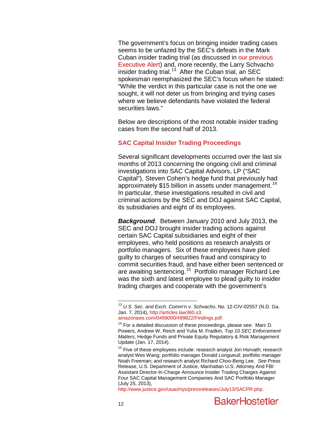The government's focus on bringing insider trading cases seems to be unfazed by the SEC's defeats in the Mark Cuban insider trading trial (as discussed in [our previous](http://www.bakerlaw.com/alerts/not-in-my-house-mark-cuban-defeats-the-secs-insider-trading-charges)  [Executive](http://www.bakerlaw.com/alerts/not-in-my-house-mark-cuban-defeats-the-secs-insider-trading-charges) Alert) and, more recently, the Larry Schvacho insider trading trial.<sup>[13](#page-11-2)</sup> After the Cuban trial, an SEC spokesman reemphasized the SEC's focus when he stated: "While the verdict in this particular case is not the one we sought, it will not deter us from bringing and trying cases where we believe defendants have violated the federal securities laws."

Below are descriptions of the most notable insider trading cases from the second half of 2013.

#### **SAC Capital Insider Trading Proceedings**

Several significant developments occurred over the last six months of 2013 concerning the ongoing civil and criminal investigations into SAC Capital Advisors, LP ("SAC Capital"), Steven Cohen's hedge fund that previously had approximately \$15 billion in assets under management.<sup>[14](#page-12-0)</sup> In particular, these investigations resulted in civil and criminal actions by the SEC and DOJ against SAC Capital, its subsidiaries and eight of its employees.

*Background*. Between January 2010 and July 2013, the SEC and DOJ brought insider trading actions against certain SAC Capital subsidiaries and eight of their employees, who held positions as research analysts or portfolio managers. Six of these employees have pled guilty to charges of securities fraud and conspiracy to commit securities fraud, and have either been sentenced or are awaiting sentencing.<sup>15</sup> Portfolio manager Richard Lee was the sixth and latest employee to plead guilty to insider trading charges and cooperate with the government's

<span id="page-12-2"></span> <sup>13</sup> *U.S. Sec. and Exch. Comm'n v. Schvacho*, No. 12-CIV-02557 (N.D. Ga. Jan. 7, 2014)[, http://articles.law360.s3.](http://articles.law360.s3.amazonaws.com/0499000/499822/Findings.pdf)

<span id="page-12-0"></span> $14$  For a detailed discussion of these proceedings, please see: Marc D. Powers, Andrew W. Reich and Yulia M. Fradkin, *Top 10 SEC Enforcement Matters*, Hedge Funds and Private Equity Regulatory & Risk Management Update (Jan. 17, 2014).

<span id="page-12-1"></span><sup>&</sup>lt;sup>15</sup> Five of these employees include: research analyst Jon Horvath; research analyst Wes Wang; portfolio manager Donald Longueuil; portfolio manager Noah Freeman; and research analyst Richard Choo-Beng Lee. *See* Press Release, U.S. Department of Justice, Manhattan U.S. Attorney And FBI Assistant Director-In-Charge Announce Insider Trading Charges Against Four SAC Capital Management Companies And SAC Portfolio Manager (July 25, 2013),

[http://www.justice.gov/usao/nys/pressreleases/July13/SACPR.php.](http://www.justice.gov/usao/nys/pressreleases/July13/SACPR.php)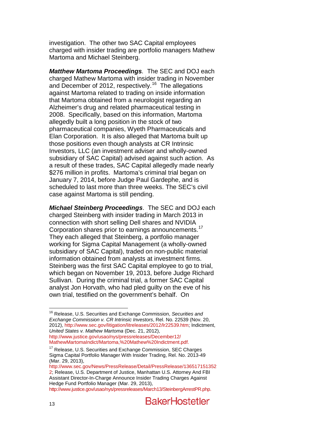investigation. The other two SAC Capital employees charged with insider trading are portfolio managers Mathew Martoma and Michael Steinberg.

*Matthew Martoma Proceedings.* The SEC and DOJ each charged Mathew Martoma with insider trading in November and December of 2012, respectively.<sup>[16](#page-12-2)</sup> The allegations against Martoma related to trading on inside information that Martoma obtained from a neurologist regarding an Alzheimer's drug and related pharmaceutical testing in 2008. Specifically, based on this information, Martoma allegedly built a long position in the stock of two pharmaceutical companies, Wyeth Pharmaceuticals and Elan Corporation. It is also alleged that Martoma built up those positions even though analysts at CR Intrinsic Investors, LLC (an investment adviser and wholly-owned subsidiary of SAC Capital) advised against such action. As a result of these trades, SAC Capital allegedly made nearly \$276 million in profits. Martoma's criminal trial began on January 7, 2014, before Judge Paul Gardephe, and is scheduled to last more than three weeks. The SEC's civil case against Martoma is still pending.

*Michael Steinberg Proceedings*.The SEC and DOJ each charged Steinberg with insider trading in March 2013 in connection with short selling Dell shares and NVIDIA Corporation shares prior to earnings announcements.<sup>[17](#page-13-0)</sup> They each alleged that Steinberg, a portfolio manager working for Sigma Capital Management (a wholly-owned subsidiary of SAC Capital), traded on non-public material information obtained from analysts at investment firms. Steinberg was the first SAC Capital employee to go to trial, which began on November 19, 2013, before Judge Richard Sullivan. During the criminal trial, a former SAC Capital analyst Jon Horvath, who had pled guilty on the eve of his own trial, testified on the government's behalf. On

[http://www.sec.gov/News/PressRelease/Detail/PressRelease/136517151352](http://www.sec.gov/News/PressRelease/Detail/PressRelease/1365171513522) [2;](http://www.sec.gov/News/PressRelease/Detail/PressRelease/1365171513522) Release, U.S. Department of Justice, Manhattan U.S. Attorney And FBI Assistant Director-In-Charge Announce Insider Trading Charges Against Hedge Fund Portfolio Manager (Mar. 29, 2013), [http://www.justice.gov/usao/nys/pressreleases/March13/SteinbergArrestPR.php.](http://www.justice.gov/usao/nys/pressreleases/March13/SteinbergArrestPR.php)

 <sup>16</sup> Release, U.S. Securities and Exchange Commission, *Securities and Exchange Commission v. CR Intrinsic Investors*, Rel. No. 22539 (Nov. 20, 2012), [http://www.sec.gov/litigation/litreleases/2012/lr22539.htm;](http://www.sec.gov/litigation/litreleases/2012/lr22539.htm) Indictment, *United States v. Mathew Martoma* (Dec. 21, 2012),

[http://www.justice.gov/usao/nys/pressreleases/December12/](http://www.justice.gov/usao/nys/pressreleases/December12/MathewMartomaIndict/Martoma,%20Mathew%20Indictment.pdf)

<span id="page-13-1"></span><span id="page-13-0"></span> $17$  Release, U.S. Securities and Exchange Commission, SEC Charges Sigma Capital Portfolio Manager With Insider Trading, Rel. No. 2013-49 (Mar. 29, 2013),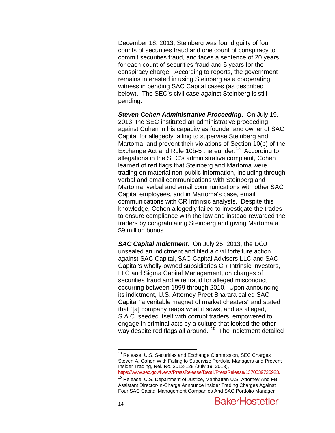December 18, 2013, Steinberg was found guilty of four counts of securities fraud and one count of conspiracy to commit securities fraud, and faces a sentence of 20 years for each count of securities fraud and 5 years for the conspiracy charge. According to reports, the government remains interested in using Steinberg as a cooperating witness in pending SAC Capital cases (as described below). The SEC's civil case against Steinberg is still pending.

*Steven Cohen Administrative Proceeding*. On July 19, 2013, the SEC instituted an administrative proceeding against Cohen in his capacity as founder and owner of SAC Capital for allegedly failing to supervise Steinberg and Martoma, and prevent their violations of Section 10(b) of the Exchange Act and Rule 10b-5 thereunder.<sup>18</sup> According to allegations in the SEC's administrative complaint, Cohen learned of red flags that Steinberg and Martoma were trading on material non-public information, including through verbal and email communications with Steinberg and Martoma, verbal and email communications with other SAC Capital employees, and in Martoma's case, email communications with CR Intrinsic analysts. Despite this knowledge, Cohen allegedly failed to investigate the trades to ensure compliance with the law and instead rewarded the traders by congratulating Steinberg and giving Martoma a \$9 million bonus.

*SAC Capital Indictment*. On July 25, 2013, the DOJ unsealed an indictment and filed a civil forfeiture action against SAC Capital, SAC Capital Advisors LLC and SAC Capital's wholly-owned subsidiaries CR Intrinsic Investors, LLC and Sigma Capital Management, on charges of securities fraud and wire fraud for alleged misconduct occurring between 1999 through 2010. Upon announcing its indictment, U.S. Attorney Preet Bharara called SAC Capital "a veritable magnet of market cheaters" and stated that "[a] company reaps what it sows, and as alleged, S.A.C. seeded itself with corrupt traders, empowered to engage in criminal acts by a culture that looked the other way despite red flags all around."<sup>19</sup> The indictment detailed

[https://www.sec.gov/News/PressRelease/Detail/PressRelease/1370539726923.](https://www.sec.gov/News/PressRelease/Detail/PressRelease/1370539726923)

<sup>&</sup>lt;sup>18</sup> Release, U.S. Securities and Exchange Commission, SEC Charges Steven A. Cohen With Failing to Supervise Portfolio Managers and Prevent Insider Trading, Rel. No. 2013-129 (July 19, 2013),

<span id="page-14-1"></span><span id="page-14-0"></span><sup>&</sup>lt;sup>19</sup> Release, U.S. Department of Justice, Manhattan U.S. Attorney And FBI Assistant Director-In-Charge Announce Insider Trading Charges Against Four SAC Capital Management Companies And SAC Portfolio Manager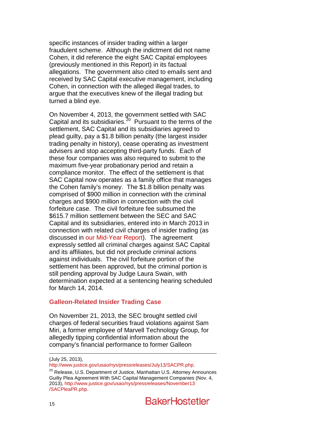specific instances of insider trading within a larger fraudulent scheme. Although the indictment did not name Cohen, it did reference the eight SAC Capital employees (previously mentioned in this Report) in its factual allegations. The government also cited to emails sent and received by SAC Capital executive management, including Cohen, in connection with the alleged illegal trades, to argue that the executives knew of the illegal trading but turned a blind eye.

On November 4, 2013, the government settled with SAC Capital and its subsidiaries.<sup>20</sup> Pursuant to the terms of the settlement, SAC Capital and its subsidiaries agreed to plead guilty, pay a \$1.8 billion penalty (the largest insider trading penalty in history), cease operating as investment advisers and stop accepting third-party funds. Each of these four companies was also required to submit to the maximum five-year probationary period and retain a compliance monitor. The effect of the settlement is that SAC Capital now operates as a family office that manages the Cohen family's money. The \$1.8 billion penalty was comprised of \$900 million in connection with the criminal charges and \$900 million in connection with the civil forfeiture case. The civil forfeiture fee subsumed the \$615.7 million settlement between the SEC and SAC Capital and its subsidiaries, entered into in March 2013 in connection with related civil charges of insider trading (as discussed in [our Mid-Year Report\)](http://www.bakerlaw.com/files/Uploads/Documents/News/Alerts/Sec%20Lit/2013SecuritiesLitigationMidYearUpdate.pdf). The agreement expressly settled all criminal charges against SAC Capital and its affiliates, but did not preclude criminal actions against individuals. The civil forfeiture portion of the settlement has been approved, but the criminal portion is still pending approval by Judge Laura Swain, with determination expected at a sentencing hearing scheduled for March 14, 2014.

### **Galleon-Related Insider Trading Case**

On November 21, 2013, the SEC brought settled civil charges of federal securities fraud violations against Sam Miri, a former employee of Marvell Technology Group, for allegedly tipping confidential information about the company's financial performance to former Galleon

<span id="page-15-0"></span>(July 25, 2013),<br>http://www.justice.gov/usao/nys/pressreleases/July13/SACPR.php.

 $120$  $120$  Release, U.S. Department of Justice, Manhattan U.S. Attorney Announces Guilty Plea Agreement With SAC Capital Management Companies (Nov. 4, 2013), [http://www.justice.gov/usao/nys/pressreleases/November13](http://www.justice.gov/usao/nys/pressreleases/November13/SACPleaPR.php) [/SACPleaPR.php.](http://www.justice.gov/usao/nys/pressreleases/November13/SACPleaPR.php)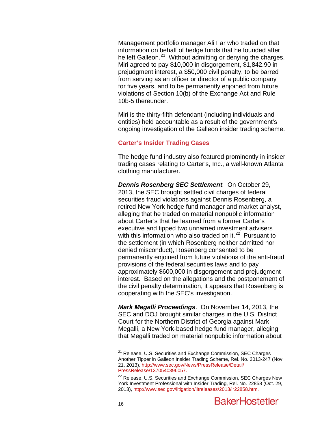Management portfolio manager Ali Far who traded on that information on behalf of hedge funds that he founded after he left Galleon. $^{21}$  $^{21}$  $^{21}$  Without admitting or denying the charges, Miri agreed to pay \$10,000 in disgorgement, \$1,842.90 in prejudgment interest, a \$50,000 civil penalty, to be barred from serving as an officer or director of a public company for five years, and to be permanently enjoined from future violations of Section 10(b) of the Exchange Act and Rule 10b-5 thereunder.

Miri is the thirty-fifth defendant (including individuals and entities) held accountable as a result of the government's ongoing investigation of the Galleon insider trading scheme.

#### **Carter's Insider Trading Cases**

The hedge fund industry also featured prominently in insider trading cases relating to Carter's, Inc., a well-known Atlanta clothing manufacturer.

*Dennis Rosenberg SEC Settlement.* On October 29, 2013, the SEC brought settled civil charges of federal securities fraud violations against Dennis Rosenberg, a retired New York hedge fund manager and market analyst, alleging that he traded on material nonpublic information about Carter's that he learned from a former Carter's executive and tipped two unnamed investment advisers with this information who also traded on it. $^{22}$  $^{22}$  $^{22}$  Pursuant to the settlement (in which Rosenberg neither admitted nor denied misconduct), Rosenberg consented to be permanently enjoined from future violations of the anti-fraud provisions of the federal securities laws and to pay approximately \$600,000 in disgorgement and prejudgment interest. Based on the allegations and the postponement of the civil penalty determination, it appears that Rosenberg is cooperating with the SEC's investigation.

*Mark Megalli Proceedings*. On November 14, 2013, the SEC and DOJ brought similar charges in the U.S. District Court for the Northern District of Georgia against Mark Megalli, a New York-based hedge fund manager, alleging that Megalli traded on material nonpublic information about

<span id="page-16-1"></span><sup>&</sup>lt;sup>21</sup> Release, U.S. Securities and Exchange Commission, SEC Charges Another Tipper in Galleon Insider Trading Scheme, Rel. No. 2013-247 (Nov. 21, 2013), [http://www.sec.gov/News/PressRelease/Detail/](http://www.sec.gov/News/PressRelease/Detail/PressRelease/1370540396057)

<span id="page-16-0"></span><sup>&</sup>lt;sup>[22](http://www.sec.gov/News/PressRelease/Detail/PressRelease/1370540396057)</sup> Release, U.S. Securities and Exchange Commission, SEC Charges New York Investment Professional with Insider Trading, Rel. No. 22858 (Oct. 29, 2013), [http://www.sec.gov/litigation/litreleases/2013/lr22858.htm.](http://www.sec.gov/litigation/litreleases/2013/lr22858.htm)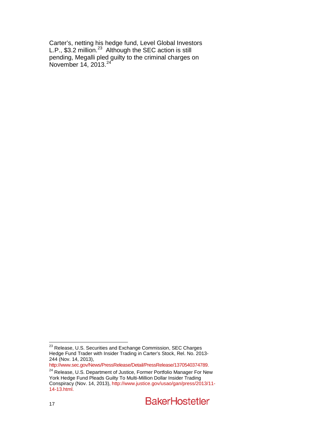Carter's, netting his hedge fund, Level Global Investors L.P.,  $$3.2$  million.<sup>[23](#page-16-1)</sup> Although the SEC action is still pending, Megalli pled guilty to the criminal charges on November 14, 2013.<sup>[24](#page-17-0)</sup>

<sup>23&</sup>lt;br>23 Release, U.S. Securities and Exchange Commission, SEC Charges Hedge Fund Trader with Insider Trading in Carter's Stock, Rel. No. 2013- 244 (Nov. 14, 2013),

<http://www.sec.gov/News/PressRelease/Detail/PressRelease/1370540374789.>

<span id="page-17-0"></span><sup>&</sup>lt;sup>24</sup> Release, U.S. Department of Justice, Former Portfolio Manager For New York Hedge Fund Pleads Guilty To Multi-Million Dollar Insider Trading Conspiracy (Nov. 14, 2013)[, http://www.justice.gov/usao/gan/press/2013/11-](http://www.justice.gov/usao/gan/press/2013/11-14-13.html) [14-13.html.](http://www.justice.gov/usao/gan/press/2013/11-14-13.html)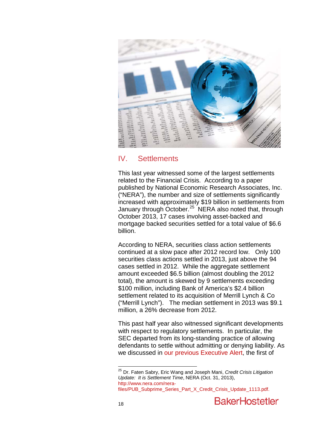

# IV. Settlements

This last year witnessed some of the largest settlements related to the Financial Crisis. According to a paper published by National Economic Research Associates, Inc. ("NERA"), the number and size of settlements significantly increased with approximately \$19 billion in settlements from January through October.<sup>[25](#page-17-0)</sup> NERA also noted that, through October 2013, 17 cases involving asset-backed and mortgage backed securities settled for a total value of \$6.6 billion.

According to NERA, securities class action settlements continued at a slow pace after 2012 record low. Only 100 securities class actions settled in 2013, just above the 94 cases settled in 2012. While the aggregate settlement amount exceeded \$6.5 billion (almost doubling the 2012 total), the amount is skewed by 9 settlements exceeding \$100 million, including Bank of America's \$2.4 billion settlement related to its acquisition of Merrill Lynch & Co ("Merrill Lynch"). The median settlement in 2013 was \$9.1 million, a 26% decrease from 2012.

This past half year also witnessed significant developments with respect to regulatory settlements. In particular, the SEC departed from its long-standing practice of allowing defendants to settle without admitting or denying liability. As we discussed in [our previous Executive Alert,](http://www.bakerlaw.com/alerts/The-Falcone-Settlement-A-Harbinger-of-Things-to-Come-9-3-2013) the first of

<span id="page-18-0"></span> <sup>25</sup> Dr. Faten Sabry, Eric Wang and Joseph Mani, *Credit Crisis Litigation Update: It is Settlement Time*, NERA (Oct. 31, 2013), [http://www.nera.com/nera](http://www.nera.com/nera-files/PUB_Subprime_Series_Part_X_Credit_Crisis_Update_1113.pdf)[files/PUB\\_Subprime\\_Series\\_Part\\_X\\_Credit\\_Crisis\\_Update\\_1113.pdf.](http://www.nera.com/nera-files/PUB_Subprime_Series_Part_X_Credit_Crisis_Update_1113.pdf)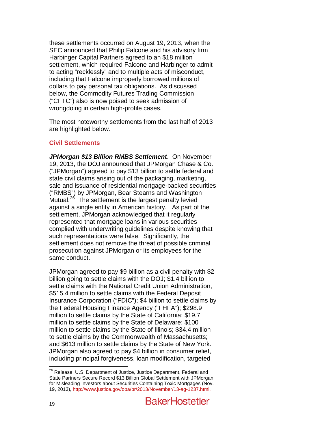these settlements occurred on August 19, 2013, when the SEC announced that Philip Falcone and his advisory firm Harbinger Capital Partners agreed to an \$18 million settlement, which required Falcone and Harbinger to admit to acting "recklessly" and to multiple acts of misconduct, including that Falcone improperly borrowed millions of dollars to pay personal tax obligations. As discussed below, the Commodity Futures Trading Commission ("CFTC") also is now poised to seek admission of wrongdoing in certain high-profile cases.

The most noteworthy settlements from the last half of 2013 are highlighted below.

# **Civil Settlements**

*JPMorgan \$13 Billion RMBS Settlement*. On November 19, 2013, the DOJ announced that JPMorgan Chase & Co. ("JPMorgan") agreed to pay \$13 billion to settle federal and state civil claims arising out of the packaging, marketing, sale and issuance of residential mortgage-backed securities ("RMBS") by JPMorgan, Bear Stearns and Washington Mutual.<sup>26</sup> The settlement is the largest penalty levied against a single entity in American history. As part of the settlement, JPMorgan acknowledged that it regularly represented that mortgage loans in various securities complied with underwriting guidelines despite knowing that such representations were false. Significantly, the settlement does not remove the threat of possible criminal prosecution against JPMorgan or its employees for the same conduct.

<span id="page-19-0"></span>JPMorgan agreed to pay \$9 billion as a civil penalty with \$2 billion going to settle claims with the DOJ; \$1.4 billion to settle claims with the National Credit Union Administration, \$515.4 million to settle claims with the Federal Deposit Insurance Corporation ("FDIC"); \$4 billion to settle claims by the Federal Housing Finance Agency ("FHFA"); \$298.9 million to settle claims by the State of California; \$19.7 million to settle claims by the State of Delaware; \$100 million to settle claims by the State of Illinois; \$34.4 million to settle claims by the Commonwealth of Massachusetts; and \$613 million to settle claims by the State of New York. JPMorgan also agreed to pay \$4 billion in consumer relief, including principal forgiveness, loan modification, targeted

<sup>&</sup>lt;sup>26</sup> Release, U.S. Department of Justice, Justice Department, Federal and State Partners Secure Record \$13 Billion Global Settlement with JPMorgan for Misleading Investors about Securities Containing Toxic Mortgages (Nov. 19, 2013), [http://www.justice.gov/opa/pr/2013/November/13-ag-1237.html.](http://www.justice.gov/opa/pr/2013/November/13-ag-1237.html)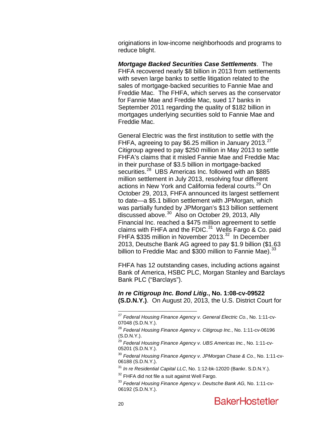originations in low-income neighborhoods and programs to reduce blight.

*Mortgage Backed Securities Case Settlements*. The FHFA recovered nearly \$8 billion in 2013 from settlements with seven large banks to settle litigation related to the sales of mortgage-backed securities to Fannie Mae and Freddie Mac. The FHFA, which serves as the conservator for Fannie Mae and Freddie Mac, sued 17 banks in September 2011 regarding the quality of \$182 billion in mortgages underlying securities sold to Fannie Mae and Freddie Mac.

General Electric was the first institution to settle with the FHFA, agreeing to pay \$6.25 million in January 2013.<sup>27</sup> Citigroup agreed to pay \$250 million in May 2013 to settle FHFA's claims that it misled Fannie Mae and Freddie Mac in their purchase of \$3.5 billion in mortgage-backed securities.<sup>28</sup> UBS Americas Inc. followed with an \$885 million settlement in July 2013, resolving four different actions in New York and California federal courts.<sup>[29](#page-20-1)</sup> On October 29, 2013, FHFA announced its largest settlement to date—a \$5.1 billion settlement with JPMorgan, which was partially funded by JPMorgan's \$13 billion settlement discussed above.<sup>30</sup> Also on October 29, 2013, Ally Financial Inc. reached a \$475 million agreement to settle claims with FHFA and the FDIC. $31$  Wells Fargo & Co. paid FHFA \$335 million in November 2013.<sup>32</sup> In December 2013, Deutsche Bank AG agreed to pay \$1.9 billion (\$1.63 billion to Freddie Mac and \$300 million to Fannie Mae).<sup>33</sup>

FHFA has 12 outstanding cases, including actions against Bank of America, HSBC PLC, Morgan Stanley and Barclays Bank PLC ("Barclays").

*In re Citigroup Inc. Bond Litig.***, No. 1:08-cv-09522 (S.D.N.Y.)**. On August 20, 2013, the U.S. District Court for

<span id="page-20-2"></span><sup>30</sup> *Federal Housing Finance Agency v. JPMorgan Chase & Co.*, No. 1:11-cv-06188 (S.D.N.Y.).

<sup>31</sup> *In re Residential Capital LLC*, No. 1:12-bk-12020 (Bankr. S.D.N.Y.).

<span id="page-20-6"></span><span id="page-20-5"></span><span id="page-20-4"></span><span id="page-20-3"></span> $32$  FHFA did not file a suit against Well Fargo.

 <sup>27</sup> *Federal Housing Finance Agency v. General Electric Co.*, No. 1:11-cv-07048 (S.D.N.Y.).

<span id="page-20-0"></span><sup>28</sup> *Federal Housing Finance Agency v. Citigroup Inc.*, No. 1:11-cv-06196 (S.D.N.Y.).

<span id="page-20-1"></span><sup>29</sup> *Federal Housing Finance Agency v. UBS Americas Inc.*, No. 1:11-cv-05201 (S.D.N.Y.).

<sup>33</sup> *Federal Housing Finance Agency v. Deutsche Bank AG,* No. 1:11-cv-06192 (S.D.N.Y.).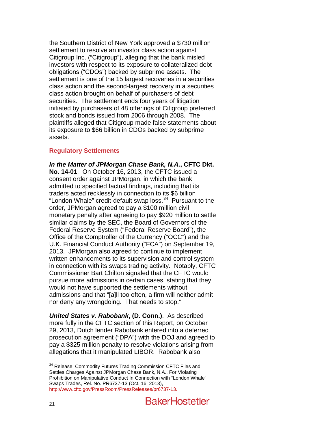the Southern District of New York approved a \$730 million settlement to resolve an investor class action against Citigroup Inc. ("Citigroup"), alleging that the bank misled investors with respect to its exposure to collateralized debt obligations ("CDOs") backed by subprime assets. The settlement is one of the 15 largest recoveries in a securities class action and the second-largest recovery in a securities class action brought on behalf of purchasers of debt securities. The settlement ends four years of litigation initiated by purchasers of 48 offerings of Citigroup preferred stock and bonds issued from 2006 through 2008. The plaintiffs alleged that Citigroup made false statements about its exposure to \$66 billion in CDOs backed by subprime assets.

# **Regulatory Settlements**

*In the Matter of JPMorgan Chase Bank, N.A.***, CFTC Dkt. No. 14-01**. On October 16, 2013, the CFTC issued a consent order against JPMorgan, in which the bank admitted to specified factual findings, including that its traders acted recklessly in connection to its \$6 billion "London Whale" credit-default swap loss. $34$  Pursuant to the order, JPMorgan agreed to pay a \$100 million civil monetary penalty after agreeing to pay \$920 million to settle similar claims by the SEC, the Board of Governors of the Federal Reserve System ("Federal Reserve Board"), the Office of the Comptroller of the Currency ("OCC") and the U.K. Financial Conduct Authority ("FCA") on September 19, 2013. JPMorgan also agreed to continue to implement written enhancements to its supervision and control system in connection with its swaps trading activity. Notably, CFTC Commissioner Bart Chilton signaled that the CFTC would pursue more admissions in certain cases, stating that they would not have supported the settlements without admissions and that "[a]ll too often, a firm will neither admit nor deny any wrongdoing. That needs to stop."

*United States v. Rabobank***, (D. Conn.)**. As described more fully in the CFTC section of this Report, on October 29, 2013, Dutch lender Rabobank entered into a deferred prosecution agreement ("DPA") with the DOJ and agreed to pay a \$325 million penalty to resolve violations arising from allegations that it manipulated LIBOR. Rabobank also

<span id="page-21-0"></span><sup>&</sup>lt;sup>34</sup> Release, Commodity Futures Trading Commission CFTC Files and Settles Charges Against JPMorgan Chase Bank, N.A., For Violating Prohibition on Manipulative Conduct In Connection with "London Whale" Swaps Trades, Rel. No. PR6737-13 (Oct. 16, 2013), [http://www.cftc.gov/PressRoom/PressReleases/pr6737-13.](http://www.cftc.gov/PressRoom/PressReleases/pr6737-13)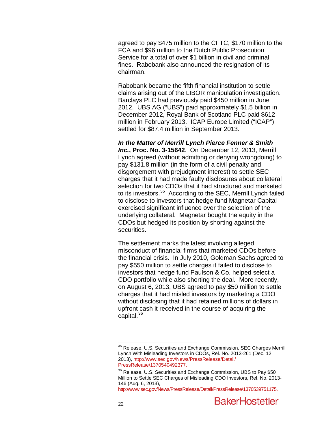agreed to pay \$475 million to the CFTC, \$170 million to the FCA and \$96 million to the Dutch Public Prosecution Service for a total of over \$1 billion in civil and criminal fines. Rabobank also announced the resignation of its chairman.

Rabobank became the fifth financial institution to settle claims arising out of the LIBOR manipulation investigation. Barclays PLC had previously paid \$450 million in June 2012. UBS AG ("UBS") paid approximately \$1.5 billion in December 2012, Royal Bank of Scotland PLC paid \$612 million in February 2013. ICAP Europe Limited ("ICAP") settled for \$87.4 million in September 2013.

*In the Matter of Merrill Lynch Pierce Fenner & Smith Inc.***, Proc. No. 3-15642**. On December 12, 2013, Merrill Lynch agreed (without admitting or denying wrongdoing) to pay \$131.8 million (in the form of a civil penalty and disgorgement with prejudgment interest) to settle SEC charges that it had made faulty disclosures about collateral selection for two CDOs that it had structured and marketed to its investors.<sup>35</sup> According to the SEC, Merrill Lynch failed to disclose to investors that hedge fund Magnetar Capital exercised significant influence over the selection of the underlying collateral. Magnetar bought the equity in the CDOs but hedged its position by shorting against the securities.

The settlement marks the latest involving alleged misconduct of financial firms that marketed CDOs before the financial crisis. In July 2010, Goldman Sachs agreed to pay \$550 million to settle charges it failed to disclose to investors that hedge fund Paulson & Co. helped select a CDO portfolio while also shorting the deal. More recently, on August 6, 2013, UBS agreed to pay \$50 million to settle charges that it had misled investors by marketing a CDO without disclosing that it had retained millions of dollars in upfront cash it received in the course of acquiring the capital.<sup>[36](#page-22-0)</sup>

<sup>&</sup>lt;sup>35</sup> Release, U.S. Securities and Exchange Commission, SEC Charges Merrill Lynch With Misleading Investors in CDOs, Rel. No. 2013-261 (Dec. 12, 2013), [http://www.sec.gov/News/PressRelease/Detail/](http://www.sec.gov/News/PressRelease/Detail/PressRelease/1370540492377)

<span id="page-22-0"></span><sup>&</sup>lt;sup>[36](http://www.sec.gov/News/PressRelease/Detail/PressRelease/1370540492377)</sup> Release, U.S. Securities and Exchange Commission, UBS to Pay \$50 Million to Settle SEC Charges of Misleading CDO Investors, Rel. No. 2013- 146 (Aug. 6, 2013),

[http://www.sec.gov/News/PressRelease/Detail/PressRelease/1370539751175.](http://www.sec.gov/News/PressRelease/Detail/PressRelease/1370539751175)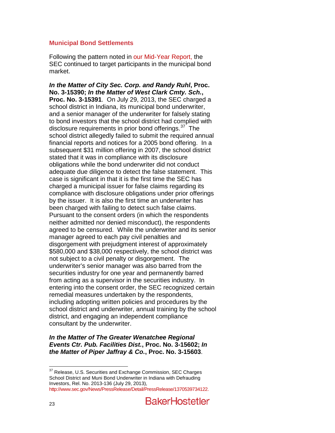#### **Municipal Bond Settlements**

Following the pattern noted in [our Mid-Year Report,](http://www.bakerlaw.com/files/Uploads/Documents/News/Alerts/Sec%20Lit/2013SecuritiesLitigationMidYearUpdate.pdf) the SEC continued to target participants in the municipal bond market.

*In the Matter of City Sec. Corp. and Randy Ruhl***, Proc. No. 3-15390;** *In the Matter of West Clark Cmty. Sch.***, Proc. No. 3-15391**. On July 29, 2013, the SEC charged a school district in Indiana, its municipal bond underwriter, and a senior manager of the underwriter for falsely stating to bond investors that the school district had complied with disclosure requirements in prior bond offerings.<sup>37</sup> The school district allegedly failed to submit the required annual financial reports and notices for a 2005 bond offering. In a subsequent \$31 million offering in 2007, the school district stated that it was in compliance with its disclosure obligations while the bond underwriter did not conduct adequate due diligence to detect the false statement. This case is significant in that it is the first time the SEC has charged a municipal issuer for false claims regarding its compliance with disclosure obligations under prior offerings by the issuer. It is also the first time an underwriter has been charged with failing to detect such false claims. Pursuant to the consent orders (in which the respondents neither admitted nor denied misconduct), the respondents agreed to be censured. While the underwriter and its senior manager agreed to each pay civil penalties and disgorgement with prejudgment interest of approximately \$580,000 and \$38,000 respectively, the school district was not subject to a civil penalty or disgorgement. The underwriter's senior manager was also barred from the securities industry for one year and permanently barred from acting as a supervisor in the securities industry. In entering into the consent order, the SEC recognized certain remedial measures undertaken by the respondents, including adopting written policies and procedures by the school district and underwriter, annual training by the school district, and engaging an independent compliance consultant by the underwriter.

### *In the Matter of The Greater Wenatchee Regional Events Ctr. Pub. Facilities Dist.***, Proc. No. 3-15602;** *In the Matter of Piper Jaffray & Co.***, Proc. No. 3-15603**.

<span id="page-23-0"></span><sup>&</sup>lt;sup>37</sup> Release, U.S. Securities and Exchange Commission, SEC Charges School District and Muni Bond Underwriter in Indiana with Defrauding Investors, Rel. No. 2013-136 (July 29, 2013), [http://www.sec.gov/News/PressRelease/Detail/PressRelease/1370539734122.](http://www.sec.gov/News/PressRelease/Detail/PressRelease/1370539734122)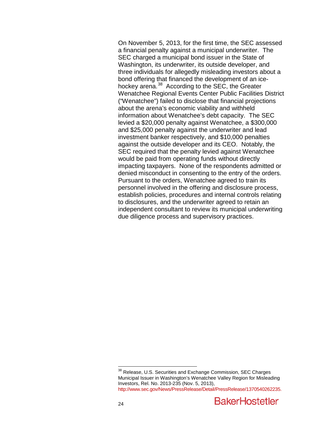On November 5, 2013, for the first time, the SEC assessed a financial penalty against a municipal underwriter. The SEC charged a municipal bond issuer in the State of Washington, its underwriter, its outside developer, and three individuals for allegedly misleading investors about a bond offering that financed the development of an ice-hockey arena.<sup>[38](#page-23-0)</sup> According to the SEC, the Greater Wenatchee Regional Events Center Public Facilities District ("Wenatchee") failed to disclose that financial projections about the arena's economic viability and withheld information about Wenatchee's debt capacity. The SEC levied a \$20,000 penalty against Wenatchee, a \$300,000 and \$25,000 penalty against the underwriter and lead investment banker respectively, and \$10,000 penalties against the outside developer and its CEO. Notably, the SEC required that the penalty levied against Wenatchee would be paid from operating funds without directly impacting taxpayers. None of the respondents admitted or denied misconduct in consenting to the entry of the orders. Pursuant to the orders, Wenatchee agreed to train its personnel involved in the offering and disclosure process, establish policies, procedures and internal controls relating to disclosures, and the underwriter agreed to retain an independent consultant to review its municipal underwriting due diligence process and supervisory practices.

<span id="page-24-0"></span><sup>&</sup>lt;sup>38</sup> Release, U.S. Securities and Exchange Commission, SEC Charges Municipal Issuer in Washington's Wenatchee Valley Region for Misleading Investors, Rel. No. 2013-235 (Nov. 5, 2013), [http://www.sec.gov/News/PressRelease/Detail/PressRelease/1370540262235.](http://www.sec.gov/News/PressRelease/Detail/PressRelease/1370540262235)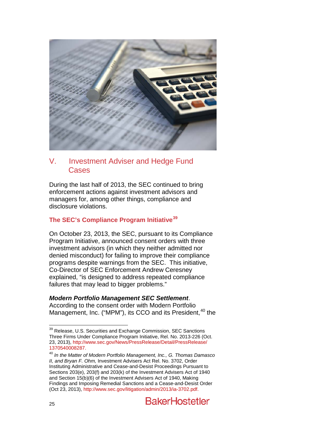

# V. Investment Adviser and Hedge Fund Cases

During the last half of 2013, the SEC continued to bring enforcement actions against investment advisors and managers for, among other things, compliance and disclosure violations.

# **The SEC's Compliance Program Initiative[39](#page-24-0)**

On October 23, 2013, the SEC, pursuant to its Compliance Program Initiative, announced consent orders with three investment advisors (in which they neither admitted nor denied misconduct) for failing to improve their compliance programs despite warnings from the SEC. This initiative, Co-Director of SEC Enforcement Andrew Ceresney explained, "is designed to address repeated compliance failures that may lead to bigger problems."

# *Modern Portfolio Management SEC Settlement*.

According to the consent order with Modern Portfolio Management, Inc. ("MPM"), its CCO and its President, <sup>[40](#page-25-0)</sup> the

<sup>&</sup>lt;sup>39</sup> Release, U.S. Securities and Exchange Commission, SEC Sanctions Three Firms Under Compliance Program Initiative, Rel. No. 2013-226 (Oct. 23, 2013), [http://www.sec.gov/News/PressRelease/Detail/PressRelease/](http://www.sec.gov/News/PressRelease/Detail/PressRelease/1370540008287)

<span id="page-25-1"></span><span id="page-25-0"></span>[<sup>1370540008287.</sup>](http://www.sec.gov/News/PressRelease/Detail/PressRelease/1370540008287) [40](http://www.sec.gov/News/PressRelease/Detail/PressRelease/1370540008287) *In the Matter of Modern Portfolio Management, Inc., G. Thomas Damasco II, and Bryan F. Ohm,* Investment Advisers Act Rel. No. 3702, Order Instituting Administrative and Cease-and-Desist Proceedings Pursuant to Sections 203(e), 203(f) and 203(k) of the Investment Advisers Act of 1940 and Section 15(b)(6) of the Investment Advisers Act of 1940, Making Findings and Imposing Remedial Sanctions and a Cease-and-Desist Order (Oct 23, 2013)[, http://www.sec.gov/litigation/admin/2013/ia-3702.pdf.](http://www.sec.gov/litigation/admin/2013/ia-3702.pdf)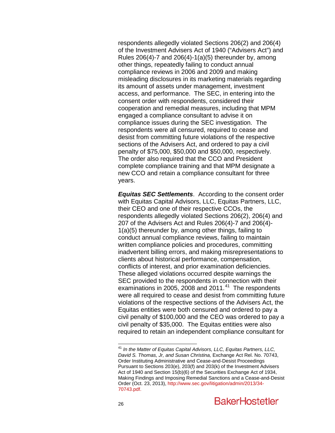respondents allegedly violated Sections 206(2) and 206(4) of the Investment Advisers Act of 1940 ("Advisers Act") and Rules  $206(4)$ -7 and  $206(4)$ -1(a)(5) thereunder by, among other things, repeatedly failing to conduct annual compliance reviews in 2006 and 2009 and making misleading disclosures in its marketing materials regarding its amount of assets under management, investment access, and performance. The SEC, in entering into the consent order with respondents, considered their cooperation and remedial measures, including that MPM engaged a compliance consultant to advise it on compliance issues during the SEC investigation. The respondents were all censured, required to cease and desist from committing future violations of the respective sections of the Advisers Act, and ordered to pay a civil penalty of \$75,000, \$50,000 and \$50,000, respectively. The order also required that the CCO and President complete compliance training and that MPM designate a new CCO and retain a compliance consultant for three years.

*Equitas SEC Settlements*. According to the consent order with Equitas Capital Advisors, LLC, Equitas Partners, LLC, their CEO and one of their respective CCOs, the respondents allegedly violated Sections 206(2), 206(4) and 207 of the Advisers Act and Rules 206(4)-7 and 206(4)- 1(a)(5) thereunder by, among other things, failing to conduct annual compliance reviews, failing to maintain written compliance policies and procedures, committing inadvertent billing errors, and making misrepresentations to clients about historical performance, compensation, conflicts of interest, and prior examination deficiencies. These alleged violations occurred despite warnings the SEC provided to the respondents in connection with their examinations in 2005, 2008 and 2011. $41$  The respondents were all required to cease and desist from committing future violations of the respective sections of the Advisers Act, the Equitas entities were both censured and ordered to pay a civil penalty of \$100,000 and the CEO was ordered to pay a civil penalty of \$35,000. The Equitas entities were also required to retain an independent compliance consultant for

<span id="page-26-0"></span> <sup>41</sup> *In the Matter of Equitas Capital Advisors, LLC, Equitas Partners, LLC, David S. Thomas, Jr, and Susan Christina,* Exchange Act Rel. No. 70743, Order Instituting Administrative and Cease-and-Desist Proceedings Pursuant to Sections 203(e), 203(f) and 203(k) of the Investment Advisers Act of 1940 and Section 15(b)(6) of the Securities Exchange Act of 1934, Making Findings and Imposing Remedial Sanctions and a Cease-and-Desist Order (Oct. 23, 2013)[, http://www.sec.gov/litigation/admin/2013/34-](http://www.sec.gov/litigation/admin/2013/34-70743.pdf) [70743.pdf.](http://www.sec.gov/litigation/admin/2013/34-70743.pdf)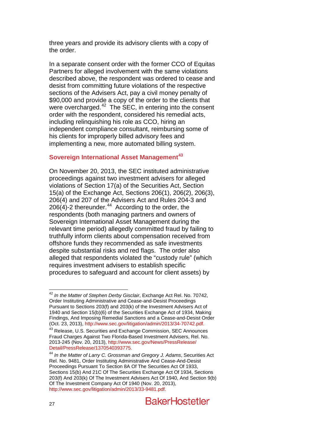three years and provide its advisory clients with a copy of the order.

In a separate consent order with the former CCO of Equitas Partners for alleged involvement with the same violations described above, the respondent was ordered to cease and desist from committing future violations of the respective sections of the Advisers Act, pay a civil money penalty of \$90,000 and provide a copy of the order to the clients that were overcharged.<sup>[42](#page-26-0)</sup> The SEC, in entering into the consent order with the respondent, considered his remedial acts, including relinquishing his role as CCO, hiring an independent compliance consultant, reimbursing some of his clients for improperly billed advisory fees and implementing a new, more automated billing system.

# **Sovereign International Asset Management[43](#page-27-0)**

On November 20, 2013, the SEC instituted administrative proceedings against two investment advisers for alleged violations of Section 17(a) of the Securities Act, Section 15(a) of the Exchange Act, Sections 206(1), 206(2), 206(3), 206(4) and 207 of the Advisers Act and Rules 204-3 and  $206(4)$ -2 thereunder.<sup>[44](#page-27-1)</sup> According to the order, the respondents (both managing partners and owners of Sovereign International Asset Management during the relevant time period) allegedly committed fraud by failing to truthfully inform clients about compensation received from offshore funds they recommended as safe investments despite substantial risks and red flags. The order also alleged that respondents violated the "custody rule" (which requires investment advisers to establish specific procedures to safeguard and account for client assets) by

 <sup>42</sup> *In the Matter of Stephen Derby Gisclair*, Exchange Act Rel. No. 70742, Order Instituting Administrative and Cease-and-Desist Proceedings Pursuant to Sections 203(f) and 203(k) of the Investment Advisers Act of 1940 and Section 15(b)(6) of the Securities Exchange Act of 1934, Making Findings, And Imposing Remedial Sanctions and a Cease-and-Desist Order (Oct. 23, 2013), http://www.sec.gov/litigation/admin/2013/34-70742.pdf.

<span id="page-27-0"></span><sup>&</sup>lt;sup>43</sup> Release, U.S. Securities and Exchange Commission, SEC Announces Fraud Charges Against Two Florida-Based Investment Advisers, Rel. No. 2013-245 (Nov. 20, 2013)[, http://www.sec.gov/News/PressRelease/](http://www.sec.gov/News/PressRelease/Detail/PressRelease/1370540393775)

<span id="page-27-1"></span>[Detail/PressRelease/1370540393775.](http://www.sec.gov/News/PressRelease/Detail/PressRelease/1370540393775)<br><sup>[44](http://www.sec.gov/News/PressRelease/Detail/PressRelease/1370540393775)</sup> In the Matter of Larry C. Grossman and Gregory J. Adams, Securities Act Rel. No. 9481, Order Instituting Administrative And Cease-And-Desist Proceedings Pursuant To Section 8A Of The Securities Act Of 1933, Sections 15(b) And 21C Of The Securities Exchange Act Of 1934, Sections 203(f) And 203(k) Of The Investment Advisers Act Of 1940, And Section 9(b) Of The Investment Company Act Of 1940 (Nov. 20, 2013), [http://www.sec.gov/litigation/admin/2013/33-9481.pdf.](http://www.sec.gov/litigation/admin/2013/33-9481.pdf)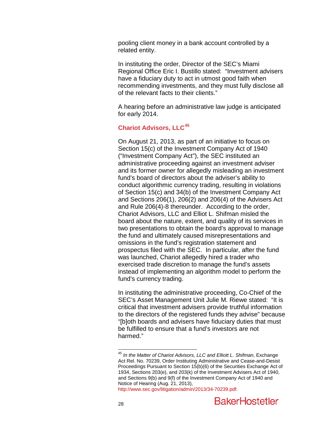pooling client money in a bank account controlled by a related entity.

In instituting the order, Director of the SEC's Miami Regional Office Eric I. Bustillo stated: "Investment advisers have a fiduciary duty to act in utmost good faith when recommending investments, and they must fully disclose all of the relevant facts to their clients."

A hearing before an administrative law judge is anticipated for early 2014.

# **Chariot Advisors, LLC[45](#page-27-1)**

On August 21, 2013, as part of an initiative to focus on Section 15(c) of the Investment Company Act of 1940 ("Investment Company Act"), the SEC instituted an administrative proceeding against an investment adviser and its former owner for allegedly misleading an investment fund's board of directors about the adviser's ability to conduct algorithmic currency trading, resulting in violations of Section 15(c) and 34(b) of the Investment Company Act and Sections 206(1), 206(2) and 206(4) of the Advisers Act and Rule 206(4)-8 thereunder. According to the order, Chariot Advisors, LLC and Elliot L. Shifman misled the board about the nature, extent, and quality of its services in two presentations to obtain the board's approval to manage the fund and ultimately caused misrepresentations and omissions in the fund's registration statement and prospectus filed with the SEC. In particular, after the fund was launched, Chariot allegedly hired a trader who exercised trade discretion to manage the fund's assets instead of implementing an algorithm model to perform the fund's currency trading.

In instituting the administrative proceeding, Co-Chief of the SEC's Asset Management Unit Julie M. Riewe stated: "It is critical that investment advisers provide truthful information to the directors of the registered funds they advise" because "[b]oth boards and advisers have fiduciary duties that must be fulfilled to ensure that a fund's investors are not harmed."

<span id="page-28-0"></span> <sup>45</sup> *In the Matter of Chariot Advisors, LLC and Elliott L. Shifman*, Exchange Act Rel. No. 70239, Order Instituting Administrative and Cease-and-Desist Proceedings Pursuant to Section 15(b)(6) of the Securities Exchange Act of 1934, Sections 203(e), and 203(k) of the Investment Advisers Act of 1940, and Sections 9(b) and 9(f) of the Investment Company Act of 1940 and Notice of Hearing (Aug. 21, 2013), [http://www.sec.gov/litigation/admin/2013/34-70239.pdf.](http://www.sec.gov/litigation/admin/2013/34-70239.pdf)

**BakerHostetler**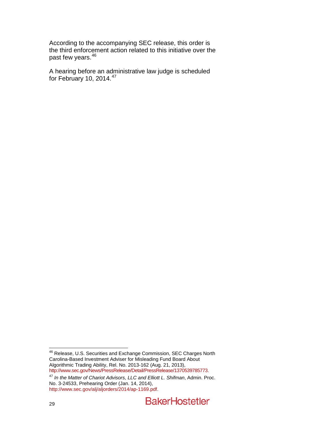According to the accompanying SEC release, this order is the third enforcement action related to this initiative over the past few years.<sup>[46](#page-28-0)</sup>

A hearing before an administrative law judge is scheduled for February 10, 2014. $47$ 

<span id="page-29-1"></span><sup>&</sup>lt;u>46</u><br>46 Release, U.S. Securities and Exchange Commission, SEC Charges North Carolina-Based Investment Adviser for Misleading Fund Board About Sarolina Based Investment Adviser for Misicading Fand Board About<br>Algorithmic Trading Ability, Rel. No. 2013-162 (Aug. 21, 2013),<br>http://www.sec.gov/News/PressRelease/Detail/PressRelease/1370539785773.

<span id="page-29-0"></span><sup>&</sup>lt;sup>47</sup> In the Matter of Chariot Advisors, LLC and Elliott L. Shifman, Admin. Proc. No. 3-24533, Prehearing Order (Jan. 14, 2014), [http://www.sec.gov/alj/aljorders/2014/ap-1169.pdf.](http://www.sec.gov/alj/aljorders/2014/ap-1169.pdf)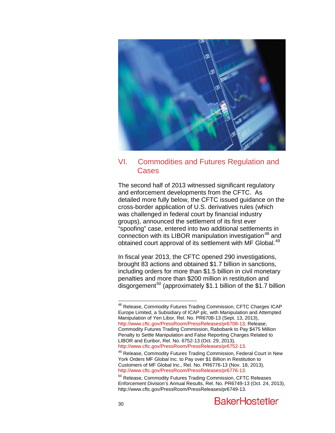

# VI. Commodities and Futures Regulation and Cases

The second half of 2013 witnessed significant regulatory and enforcement developments from the CFTC. As detailed more fully below, the CFTC issued guidance on the cross-border application of U.S. derivatives rules (which was challenged in federal court by financial industry groups), announced the settlement of its first ever "spoofing" case, entered into two additional settlements in connection with its LIBOR manipulation investigation<sup>[48](#page-29-1)</sup> and obtained court approval of its settlement with MF Global.<sup>[49](#page-30-0)</sup>

In fiscal year 2013, the CFTC opened 290 investigations, brought 83 actions and obtained \$1.7 billion in sanctions, including orders for more than \$1.5 billion in civil monetary penalties and more than \$200 million in restitution and disgorgement<sup>[50](#page-30-1)</sup> (approximately \$1.1 billion of the \$1.7 billion

 <sup>48</sup> Release, Commodity Futures Trading Commission, CFTC Charges ICAP Europe Limited, a Subsidiary of ICAP plc, with Manipulation and Attempted Manipulation of Yen Libor, Rel. No. PR6708-13 (Sept. 13, 2013), [http://www.cftc.gov/PressRoom/PressReleases/pr6708-13;](http://www.cftc.gov/PressRoom/PressReleases/pr6708-13) Release, Commodity Futures Trading Commission, Rabobank to Pay \$475 Million Penalty to Settle Manipulation and False Reporting Charges Related to LIBOR and Euribor, Rel. No. 6752-13 (Oct. 29, 2013),<br>http://www.cftc.gov/PressRoom/PressReleases/pr6752-13.

<span id="page-30-2"></span><span id="page-30-0"></span> $49$  Release, Commodity Futures Trading Commission, Federal Court in New York Orders MF Global Inc. to Pay over \$1 Billion in Restitution to Customers of MF Global Inc., Rel. No. PR6776-13 (Nov. 18, 2013), http://www.cftc.gov/PressRoom/PressReleases/pr6776-13.

<span id="page-30-1"></span> $50$  Release, Commodity Futures Trading Commission, CFTC Releases Enforcement Division's Annual Results, Rel. No. PR6749-13 (Oct. 24, 2013), http://www.cftc.gov/PressRoom/PressReleases/pr6749-13.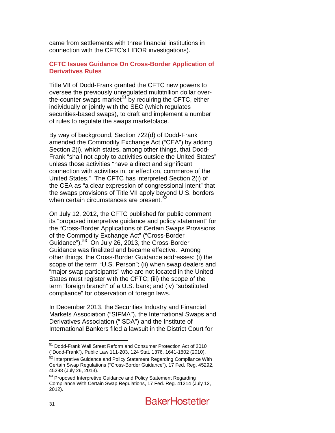came from settlements with three financial institutions in connection with the CFTC's LIBOR investigations).

### **CFTC Issues Guidance On Cross-Border Application of Derivatives Rules**

Title VII of Dodd-Frank granted the CFTC new powers to oversee the previously unregulated multitrillion dollar over-the-counter swaps market<sup>[51](#page-30-2)</sup> by requiring the CFTC, either individually or jointly with the SEC (which regulates securities-based swaps), to draft and implement a number of rules to regulate the swaps marketplace.

By way of background, Section 722(d) of Dodd-Frank amended the Commodity Exchange Act ("CEA") by adding Section 2(i), which states, among other things, that Dodd-Frank "shall not apply to activities outside the United States" unless those activities "have a direct and significant connection with activities in, or effect on, commerce of the United States." The CFTC has interpreted Section 2(i) of the CEA as "a clear expression of congressional intent" that the swaps provisions of Title VII apply beyond U.S. borders when certain circumstances are present.<sup>[52](#page-31-0)</sup>

On July 12, 2012, the CFTC published for public comment its "proposed interpretive guidance and policy statement" for the "Cross-Border Applications of Certain Swaps Provisions of the Commodity Exchange Act" ("Cross-Border Guidance").<sup>[53](#page-31-1)</sup> On July 26, 2013, the Cross-Border Guidance was finalized and became effective. Among other things, the Cross-Border Guidance addresses: (i) the scope of the term "U.S. Person"; (ii) when swap dealers and "major swap participants" who are not located in the United States must register with the CFTC; (iii) the scope of the term "foreign branch" of a U.S. bank; and (iv) "substituted compliance" for observation of foreign laws.

<span id="page-31-2"></span>In December 2013, the Securities Industry and Financial Markets Association ("SIFMA"), the International Swaps and Derivatives Association ("ISDA") and the Institute of International Bankers filed a lawsuit in the District Court for

 <sup>51</sup> Dodd-Frank Wall Street Reform and Consumer Protection Act of 2010 ("Dodd-Frank"), Public Law 111-203, 124 Stat. 1376, 1641-1802 (2010).

<span id="page-31-0"></span><sup>52</sup> Interpretive Guidance and Policy Statement Regarding Compliance With Certain Swap Regulations ("Cross-Border Guidance"), 17 Fed. Reg. 45292, 45298 (July 26, 2013).

<span id="page-31-1"></span><sup>&</sup>lt;sup>53</sup> Proposed Interpretive Guidance and Policy Statement Regarding Compliance With Certain Swap Regulations, 17 Fed. Reg. 41214 (July 12, 2012).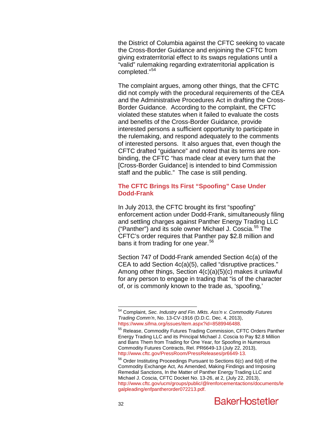the District of Columbia against the CFTC seeking to vacate the Cross-Border Guidance and enjoining the CFTC from giving extraterritorial effect to its swaps regulations until a "valid" rulemaking regarding extraterritorial application is completed."[54](#page-31-2)

The complaint argues, among other things, that the CFTC did not comply with the procedural requirements of the CEA and the Administrative Procedures Act in drafting the Cross-Border Guidance. According to the complaint, the CFTC violated these statutes when it failed to evaluate the costs and benefits of the Cross-Border Guidance, provide interested persons a sufficient opportunity to participate in the rulemaking, and respond adequately to the comments of interested persons. It also argues that, even though the CFTC drafted "guidance" and noted that its terms are nonbinding, the CFTC "has made clear at every turn that the [Cross-Border Guidance] is intended to bind Commission staff and the public." The case is still pending.

#### **The CFTC Brings Its First "Spoofing" Case Under Dodd-Frank**

In July 2013, the CFTC brought its first "spoofing" enforcement action under Dodd-Frank, simultaneously filing and settling charges against Panther Energy Trading LLC ("Panther") and its sole owner Michael J. Coscia.<sup>[55](#page-32-0)</sup> The CFTC's order requires that Panther pay \$2.8 million and bans it from trading for one year.<sup>[56](#page-32-1)</sup>

Section 747 of Dodd-Frank amended Section 4c(a) of the CEA to add Section 4c(a)(5), called "disruptive practices." Among other things, Section 4(c)(a)(5)(c) makes it unlawful for any person to engage in trading that "is of the character of, or is commonly known to the trade as, 'spoofing,'

 <sup>54</sup> Complaint, *Sec. Industry and Fin. Mkts. Ass'n v. Commodity Futures Trading Comm'n*, No. 13-CV-1916 (D.D.C. Dec. 4, 2013),

<span id="page-32-2"></span><span id="page-32-0"></span>[<sup>55</sup>](https://www.sifma.org/issues/item.aspx?id=8589946488) Release, Commodity Futures Trading Commission, CFTC Orders Panther Energy Trading LLC and its Principal Michael J. Coscia to Pay \$2.8 Million and Bans Them from Trading for One Year, for Spoofing in Numerous Commodity Futures Contracts, Rel. PR6649-13 (July 22, 2013), [http://www.cftc.gov/PressRoom/PressReleases/pr6649-13.](http://www.cftc.gov/PressRoom/PressReleases/pr6649-13)

<span id="page-32-1"></span><sup>56</sup> Order Instituting Proceedings Pursuant to Sections 6(c) and 6(d) of the Commodity Exchange Act, As Amended, Making Findings and Imposing Remedial Sanctions, In the Matter of Panther Energy Trading LLC and Michael J. Coscia, CFTC Docket No. 13-26, at 2, (July 22, 2013), [http://www.cftc.gov/ucm/groups/public/@lrenforcementactions/documents/le](http://www.cftc.gov/ucm/groups/public/@lrenforcementactions/documents/legalpleading/enfpantherorder072213.pdf) [galpleading/enfpantherorder072213.pdf.](http://www.cftc.gov/ucm/groups/public/@lrenforcementactions/documents/legalpleading/enfpantherorder072213.pdf)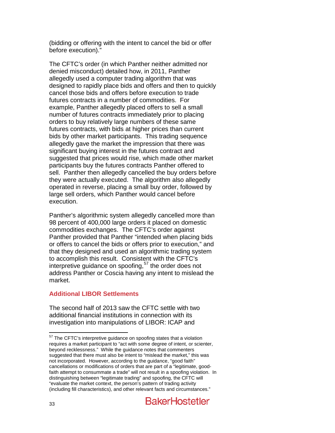(bidding or offering with the intent to cancel the bid or offer before execution)."

The CFTC's order (in which Panther neither admitted nor denied misconduct) detailed how, in 2011, Panther allegedly used a computer trading algorithm that was designed to rapidly place bids and offers and then to quickly cancel those bids and offers before execution to trade futures contracts in a number of commodities. For example, Panther allegedly placed offers to sell a small number of futures contracts immediately prior to placing orders to buy relatively large numbers of these same futures contracts, with bids at higher prices than current bids by other market participants. This trading sequence allegedly gave the market the impression that there was significant buying interest in the futures contract and suggested that prices would rise, which made other market participants buy the futures contracts Panther offered to sell. Panther then allegedly cancelled the buy orders before they were actually executed. The algorithm also allegedly operated in reverse, placing a small buy order, followed by large sell orders, which Panther would cancel before execution.

Panther's algorithmic system allegedly cancelled more than 98 percent of 400,000 large orders it placed on domestic commodities exchanges. The CFTC's order against Panther provided that Panther "intended when placing bids or offers to cancel the bids or offers prior to execution," and that they designed and used an algorithmic trading system to accomplish this result. Consistent with the CFTC's interpretive guidance on spoofing,  $57$  the order does not address Panther or Coscia having any intent to mislead the market.

# **Additional LIBOR Settlements**

<span id="page-33-0"></span>The second half of 2013 saw the CFTC settle with two additional financial institutions in connection with its investigation into manipulations of LIBOR: ICAP and

<sup>&</sup>lt;sup>57</sup> The CFTC's interpretive guidance on spoofing states that a violation requires a market participant to "act with some degree of intent, or scienter, beyond recklessness." While the guidance notes that commenters suggested that there must also be intent to "mislead the market," this was not incorporated. However, according to the guidance, "good faith" cancellations or modifications of orders that are part of a "legitimate, goodfaith attempt to consummate a trade" will not result in a spoofing violation. In distinguishing between "legitimate trading" and spoofing, the CFTC will "evaluate the market context, the person's pattern of trading activity (including fill characteristics), and other relevant facts and circumstances."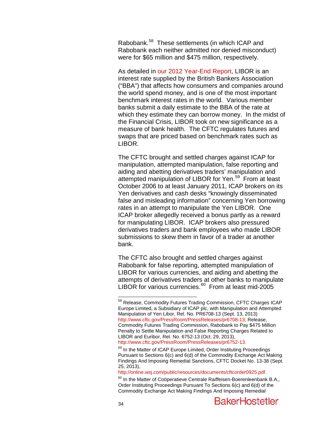Rabobank.[58](#page-33-0) These settlements (in which ICAP and Rabobank each neither admitted nor denied misconduct) were for \$65 million and \$475 million, respectively.

As detailed in [our 2012 Year-End Report,](http://www.bakerlaw.com/files/Uploads/Documents/News/Alerts/Sec%20Lit/2012-Sec-Year-End-Review.pdf) LIBOR is an interest rate supplied by the British Bankers Association ("BBA") that affects how consumers and companies around the world spend money, and is one of the most important benchmark interest rates in the world. Various member banks submit a daily estimate to the BBA of the rate at which they estimate they can borrow money. In the midst of the Financial Crisis, LIBOR took on new significance as a measure of bank health. The CFTC regulates futures and swaps that are priced based on benchmark rates such as LIBOR.

The CFTC brought and settled charges against ICAP for manipulation, attempted manipulation, false reporting and aiding and abetting derivatives traders' manipulation and attempted manipulation of LIBOR for Yen.<sup>[59](#page-34-0)</sup> From at least October 2006 to at least January 2011, ICAP brokers on its Yen derivatives and cash desks "knowingly disseminated false and misleading information" concerning Yen borrowing rates in an attempt to manipulate the Yen LIBOR. One ICAP broker allegedly received a bonus partly as a reward for manipulating LIBOR. ICAP brokers also pressured derivatives traders and bank employees who made LIBOR submissions to skew them in favor of a trader at another bank.

The CFTC also brought and settled charges against Rabobank for false reporting, attempted manipulation of LIBOR for various currencies, and aiding and abetting the attempts of derivatives traders at other banks to manipulate LIBOR for various currencies.<sup>60</sup> From at least mid-2005

<sup>58</sup> Release, Commodity Futures Trading Commission, CFTC Charges ICAP Europe Limited, a Subsidiary of ICAP plc, with Manipulation and Attempted Manipulation of Yen Libor, Rel. No. PR6708-13 (Sept. 13, 2013) [http://www.cftc.gov/PressRoom/PressReleases/pr6708-13;](http://www.cftc.gov/PressRoom/PressReleases/pr6708-13) Release, Commodity Futures Trading Commission, Rabobank to Pay \$475 Million Penalty to Settle Manipulation and False Reporting Charges Related to LIBOR and Euribor, Rel. No. 6752-13 (Oct. 29, 2013),

<span id="page-34-2"></span>[http://www.cftc.gov/PressRoom/PressReleases/pr6752-13.](http://www.cftc.gov/PressRoom/PressReleases/pr6752-13)

<span id="page-34-0"></span><sup>&</sup>lt;sup>59</sup> In the Matter of ICAP Europe Limited, Order Instituting Proceedings Pursuant to Sections 6(c) and 6(d) of the Commodity Exchange Act Making Findings And Imposing Remedial Sanctions, CFTC Docket No. 13-38 (Sept. 25, 2013),<br>http://online.wsj.com/public/resources/documents/cftcorder0925.pdf.

<span id="page-34-1"></span> $60$  In the Matter of Coöperatieve Centrale Raiffeisen-Boerenleenbank B.A., Order Instituting Proceedings Pursuant To Sections 6(c) and 6(d) of the Commodity Exchange Act Making Findings And Imposing Remedial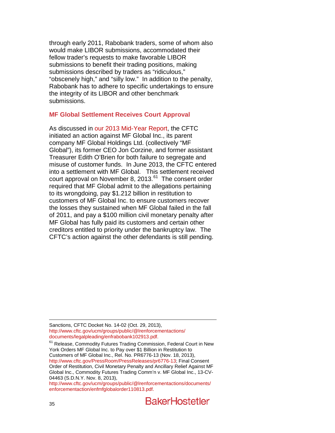through early 2011, Rabobank traders, some of whom also would make LIBOR submissions, accommodated their fellow trader's requests to make favorable LIBOR submissions to benefit their trading positions, making submissions described by traders as "ridiculous," "obscenely high," and "silly low." In addition to the penalty, Rabobank has to adhere to specific undertakings to ensure the integrity of its LIBOR and other benchmark submissions.

### **MF Global Settlement Receives Court Approval**

As discussed in [our 2013 Mid-Year Report,](http://www.bakerlaw.com/files/Uploads/Documents/News/Alerts/Sec%20Lit/2013SecuritiesLitigationMidYearUpdate.pdf) the CFTC initiated an action against MF Global Inc., its parent company MF Global Holdings Ltd. (collectively "MF Global"), its former CEO Jon Corzine, and former assistant Treasurer Edith O'Brien for both failure to segregate and misuse of customer funds. In June 2013, the CFTC entered into a settlement with MF Global. This settlement received court approval on November 8, 2013. $^{61}$  The consent order required that MF Global admit to the allegations pertaining to its wrongdoing, pay \$1.212 billion in restitution to customers of MF Global Inc. to ensure customers recover the losses they sustained when MF Global failed in the fall of 2011, and pay a \$100 million civil monetary penalty after MF Global has fully paid its customers and certain other creditors entitled to priority under the bankruptcy law. The CFTC's action against the other defendants is still pending.

 Sanctions, CFTC Docket No. 14-02 (Oct. 29, 2013), [http://www.cftc.gov/ucm/groups/public/@lrenforcementactions/](http://www.cftc.gov/ucm/groups/public/@lrenforcementactions/documents/legalpleading/enfrabobank102913.pdf)<br>documents/legalpleading/enfrabobank102913.pdf.

 $61$  Release, Commodity Futures Trading Commission, Federal Court in New York Orders MF Global Inc. to Pay over \$1 Billion in Restitution to Customers of MF Global Inc., Rel. No. PR6776-13 (Nov. 18, 2013), [http://www.cftc.gov/PressRoom/PressReleases/pr6776-13;](http://www.cftc.gov/PressRoom/PressReleases/pr6776-13) Final Consent Order of Restitution, Civil Monetary Penalty and Ancillary Relief Against MF Global Inc., Commodity Futures Trading Comm'n v. MF Global Inc., 13-CV-04463 (S.D.N.Y. Nov. 8, 2013),

<span id="page-35-0"></span>[http://www.cftc.gov/ucm/groups/public/@lrenforcementactions/documents/](http://www.cftc.gov/ucm/groups/public/@lrenforcementactions/documents/enforcementaction/enfmfglobalorder110813.pdf) [enforcementaction/enfmfglobalorder110813.pdf.](http://www.cftc.gov/ucm/groups/public/@lrenforcementactions/documents/enforcementaction/enfmfglobalorder110813.pdf)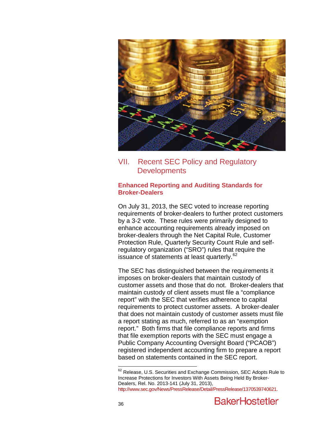

VII. Recent SEC Policy and Regulatory **Developments** 

## **Enhanced Reporting and Auditing Standards for Broker-Dealers**

On July 31, 2013, the SEC voted to increase reporting requirements of broker-dealers to further protect customers by a 3-2 vote. These rules were primarily designed to enhance accounting requirements already imposed on broker-dealers through the Net Capital Rule, Customer Protection Rule, Quarterly Security Count Rule and selfregulatory organization ("SRO") rules that require the issuance of statements at least quarterly.<sup>62</sup>

The SEC has distinguished between the requirements it imposes on broker-dealers that maintain custody of customer assets and those that do not. Broker-dealers that maintain custody of client assets must file a "compliance report" with the SEC that verifies adherence to capital requirements to protect customer assets. A broker-dealer that does not maintain custody of customer assets must file a report stating as much, referred to as an "exemption report." Both firms that file compliance reports and firms that file exemption reports with the SEC must engage a Public Company Accounting Oversight Board ("PCAOB") registered independent accounting firm to prepare a report based on statements contained in the SEC report.

<span id="page-36-0"></span><sup>&</sup>lt;sup>62</sup> Release, U.S. Securities and Exchange Commission, SEC Adopts Rule to Increase Protections for Investors With Assets Being Held By Broker-Dealers, Rel. No. 2013-141 (July 31, 2013), [http://www.sec.gov/News/PressRelease/Detail/PressRelease/1370539740621.](http://www.sec.gov/News/PressRelease/Detail/PressRelease/1370539740621)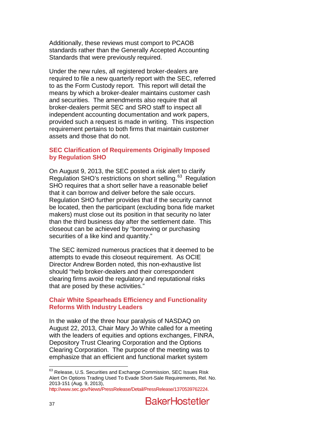Additionally, these reviews must comport to PCAOB standards rather than the Generally Accepted Accounting Standards that were previously required.

Under the new rules, all registered broker-dealers are required to file a new quarterly report with the SEC, referred to as the Form Custody report. This report will detail the means by which a broker-dealer maintains customer cash and securities. The amendments also require that all broker-dealers permit SEC and SRO staff to inspect all independent accounting documentation and work papers, provided such a request is made in writing. This inspection requirement pertains to both firms that maintain customer assets and those that do not.

## **SEC Clarification of Requirements Originally Imposed by Regulation SHO**

On August 9, 2013, the SEC posted a risk alert to clarify Regulation SHO's restrictions on short selling.<sup>63</sup> Regulation SHO requires that a short seller have a reasonable belief that it can borrow and deliver before the sale occurs. Regulation SHO further provides that if the security cannot be located, then the participant (excluding bona fide market makers) must close out its position in that security no later than the third business day after the settlement date. This closeout can be achieved by "borrowing or purchasing securities of a like kind and quantity."

The SEC itemized numerous practices that it deemed to be attempts to evade this closeout requirement. As OCIE Director Andrew Borden noted, this non-exhaustive list should "help broker-dealers and their correspondent clearing firms avoid the regulatory and reputational risks that are posed by these activities."

### **Chair White Spearheads Efficiency and Functionality Reforms With Industry Leaders**

In the wake of the three hour paralysis of NASDAQ on August 22, 2013, Chair Mary Jo White called for a meeting with the leaders of equities and options exchanges, FINRA, Depository Trust Clearing Corporation and the Options Clearing Corporation. The purpose of the meeting was to emphasize that an efficient and functional market system

<span id="page-37-0"></span> $63$  Release, U.S. Securities and Exchange Commission, SEC Issues Risk Alert On Options Trading Used To Evade Short-Sale Requirements, Rel. No. 2013-151 (Aug. 9, 2013),

[http://www.sec.gov/News/PressRelease/Detail/PressRelease/1370539762224.](http://www.sec.gov/News/PressRelease/Detail/PressRelease/1370539762224)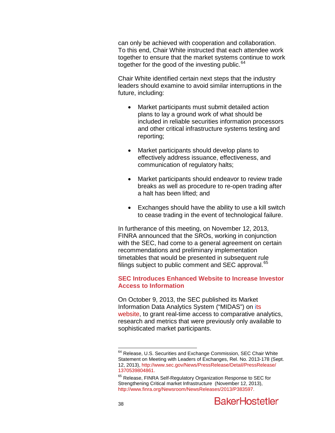can only be achieved with cooperation and collaboration. To this end, Chair White instructed that each attendee work together to ensure that the market systems continue to work together for the good of the investing public.  $64$ 

Chair White identified certain next steps that the industry leaders should examine to avoid similar interruptions in the future, including:

- Market participants must submit detailed action plans to lay a ground work of what should be included in reliable securities information processors and other critical infrastructure systems testing and reporting;
- Market participants should develop plans to effectively address issuance, effectiveness, and communication of regulatory halts;
- Market participants should endeavor to review trade breaks as well as procedure to re-open trading after a halt has been lifted; and
- Exchanges should have the ability to use a kill switch to cease trading in the event of technological failure.

In furtherance of this meeting, on November 12, 2013, FINRA announced that the SROs, working in conjunction with the SEC, had come to a general agreement on certain recommendations and preliminary implementation timetables that would be presented in subsequent rule filings subject to public comment and SEC approval.<sup>[65](#page-38-0)</sup>

#### **SEC Introduces Enhanced Website to Increase Investor Access to Information**

On October 9, 2013, the SEC published its Market Information Data Analytics System ("MIDAS") on [its](http://www.sec.gov/marketstructure)  [website,](http://www.sec.gov/marketstructure) to grant real-time access to comparative analytics, research and metrics that were previously only available to sophisticated market participants.

<span id="page-38-1"></span> $^{64}$  Release, U.S. Securities and Exchange Commission, SEC Chair White Statement on Meeting with Leaders of Exchanges, Rel. No. 2013-178 (Sept. 12, 2013), [http://www.sec.gov/News/PressRelease/Detail/PressRelease/](http://www.sec.gov/News/PressRelease/Detail/PressRelease/1370539804861) [1370539804861.](http://www.sec.gov/News/PressRelease/Detail/PressRelease/1370539804861)

<span id="page-38-0"></span><sup>&</sup>lt;sup>65</sup> Release, FINRA Self-Regulatory Organization Response to SEC for Strengthening Critical market Infrastructure (November 12, 2013), [http://www.finra.org/Newsroom/NewsReleases/2013/P383597.](http://www.finra.org/Newsroom/NewsReleases/2013/P383597)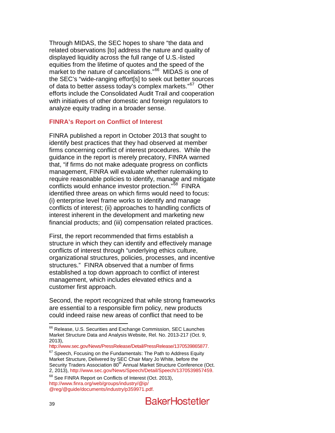Through MIDAS, the SEC hopes to share "the data and related observations [to] address the nature and quality of displayed liquidity across the full range of U.S.-listed equities from the lifetime of quotes and the speed of the market to the nature of cancellations."<sup>[66](#page-38-1)</sup> MIDAS is one of the SEC's "wide-ranging effort[s] to seek out better sources of data to better assess today's complex markets."<sup>[67](#page-39-0)</sup> Other efforts include the Consolidated Audit Trail and cooperation with initiatives of other domestic and foreign regulators to analyze equity trading in a broader sense.

### **FINRA's Report on Conflict of Interest**

FINRA published a report in October 2013 that sought to identify best practices that they had observed at member firms concerning conflict of interest procedures. While the guidance in the report is merely precatory, FINRA warned that, "if firms do not make adequate progress on conflicts management, FINRA will evaluate whether rulemaking to require reasonable policies to identify, manage and mitigate conflicts would enhance investor protection."<sup>[68](#page-39-1)</sup> FINRA identified three areas on which firms would need to focus: (i) enterprise level frame works to identify and manage conflicts of interest; (ii) approaches to handling conflicts of interest inherent in the development and marketing new financial products; and (iii) compensation related practices.

First, the report recommended that firms establish a structure in which they can identify and effectively manage conflicts of interest through "underlying ethics culture, organizational structures, policies, processes, and incentive structures." FINRA observed that a number of firms established a top down approach to conflict of interest management, which includes elevated ethics and a customer first approach.

Second, the report recognized that while strong frameworks are essential to a responsible firm policy, new products could indeed raise new areas of conflict that need to be

[http://www.sec.gov/News/PressRelease/Detail/PressRelease/1370539865877.](http://www.sec.gov/News/PressRelease/Detail/PressRelease/1370539865877)

<span id="page-39-0"></span> $67$  Speech, Focusing on the Fundamentals: The Path to Address Equity Market Structure, Delivered by SEC Chair Mary Jo White, before the Security Traders Association 80<sup>th</sup> Annual Market Structure Conference (Oct.<br>2, 2013), http://www.sec.gov/News/Speech/Detail/Speech/1370539857459.

<sup>&</sup>lt;sup>66</sup> Release, U.S. Securities and Exchange Commission, SEC Launches Market Structure Data and Analysis Website, Rel. No. 2013-217 (Oct. 9, 2013),

<span id="page-39-2"></span><span id="page-39-1"></span><sup>&</sup>lt;sup>68</sup> See FINRA Report on Conflicts of Interest (Oct. 2013), [http://www.finra.org/web/groups/industry/@ip/](http://www.finra.org/web/groups/industry/@ip/@reg/@guide/documents/industry/p359971.pdf) [@reg/@guide/documents/industry/p359971.pdf.](http://www.finra.org/web/groups/industry/@ip/@reg/@guide/documents/industry/p359971.pdf)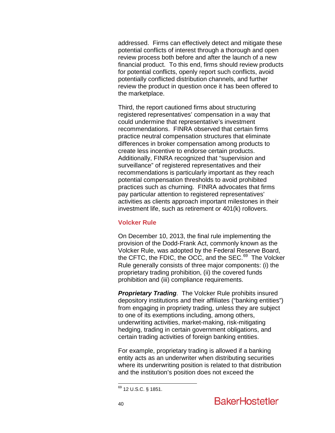addressed. Firms can effectively detect and mitigate these potential conflicts of interest through a thorough and open review process both before and after the launch of a new financial product. To this end, firms should review products for potential conflicts, openly report such conflicts, avoid potentially conflicted distribution channels, and further review the product in question once it has been offered to the marketplace.

Third, the report cautioned firms about structuring registered representatives' compensation in a way that could undermine that representative's investment recommendations. FINRA observed that certain firms practice neutral compensation structures that eliminate differences in broker compensation among products to create less incentive to endorse certain products. Additionally, FINRA recognized that "supervision and surveillance" of registered representatives and their recommendations is particularly important as they reach potential compensation thresholds to avoid prohibited practices such as churning. FINRA advocates that firms pay particular attention to registered representatives' activities as clients approach important milestones in their investment life, such as retirement or 401(k) rollovers.

#### **Volcker Rule**

<span id="page-40-0"></span>On December 10, 2013, the final rule implementing the provision of the Dodd-Frank Act, commonly known as the Volcker Rule, was adopted by the Federal Reserve Board, the CFTC, the FDIC, the OCC, and the SEC.<sup>[69](#page-39-2)</sup> The Volcker Rule generally consists of three major components: (i) the proprietary trading prohibition, (ii) the covered funds prohibition and (iii) compliance requirements.

**Proprietary Trading**. The Volcker Rule prohibits insured depository institutions and their affiliates ("banking entities") from engaging in propriety trading, unless they are subject to one of its exemptions including, among others, underwriting activities, market-making, risk-mitigating hedging, trading in certain government obligations, and certain trading activities of foreign banking entities.

For example, proprietary trading is allowed if a banking entity acts as an underwriter when distributing securities where its underwriting position is related to that distribution and the institution's position does not exceed the

 <sup>69</sup> 12 U.S.C. § 1851.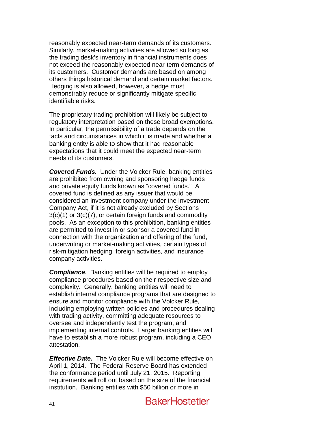reasonably expected near-term demands of its customers. Similarly, market-making activities are allowed so long as the trading desk's inventory in financial instruments does not exceed the reasonably expected near-term demands of its customers. Customer demands are based on among others things historical demand and certain market factors. Hedging is also allowed, however, a hedge must demonstrably reduce or significantly mitigate specific identifiable risks.

The proprietary trading prohibition will likely be subject to regulatory interpretation based on these broad exemptions. In particular, the permissibility of a trade depends on the facts and circumstances in which it is made and whether a banking entity is able to show that it had reasonable expectations that it could meet the expected near-term needs of its customers.

*Covered Funds.* Under the Volcker Rule, banking entities are prohibited from owning and sponsoring hedge funds and private equity funds known as "covered funds." A covered fund is defined as any issuer that would be considered an investment company under the Investment Company Act, if it is not already excluded by Sections 3(c)(1) or 3(c)(7), or certain foreign funds and commodity pools. As an exception to this prohibition, banking entities are permitted to invest in or sponsor a covered fund in connection with the organization and offering of the fund, underwriting or market-making activities, certain types of risk-mitigation hedging, foreign activities, and insurance company activities.

*Compliance.* Banking entities will be required to employ compliance procedures based on their respective size and complexity. Generally, banking entities will need to establish internal compliance programs that are designed to ensure and monitor compliance with the Volcker Rule, including employing written policies and procedures dealing with trading activity, committing adequate resources to oversee and independently test the program, and implementing internal controls. Larger banking entities will have to establish a more robust program, including a CEO attestation.

*Effective Date.* The Volcker Rule will become effective on April 1, 2014. The Federal Reserve Board has extended the conformance period until July 21, 2015. Reporting requirements will roll out based on the size of the financial institution. Banking entities with \$50 billion or more in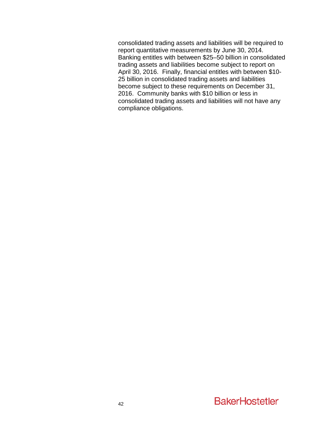consolidated trading assets and liabilities will be required to report quantitative measurements by June 30, 2014. Banking entitles with between \$25–50 billion in consolidated trading assets and liabilities become subject to report on April 30, 2016. Finally, financial entitles with between \$10- 25 billion in consolidated trading assets and liabilities become subject to these requirements on December 31, 2016. Community banks with \$10 billion or less in consolidated trading assets and liabilities will not have any compliance obligations.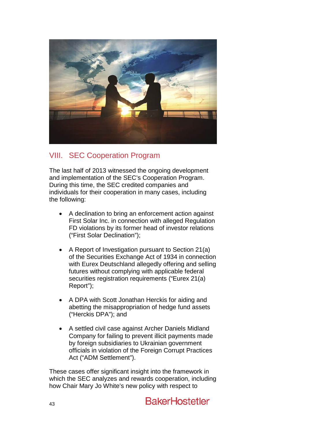

# VIII. SEC Cooperation Program

The last half of 2013 witnessed the ongoing development and implementation of the SEC's Cooperation Program. During this time, the SEC credited companies and individuals for their cooperation in many cases, including the following:

- A declination to bring an enforcement action against First Solar Inc. in connection with alleged Regulation FD violations by its former head of investor relations ("First Solar Declination");
- A Report of Investigation pursuant to Section 21(a) of the Securities Exchange Act of 1934 in connection with Eurex Deutschland allegedly offering and selling futures without complying with applicable federal securities registration requirements ("Eurex 21(a) Report");
- A DPA with Scott Jonathan Herckis for aiding and abetting the misappropriation of hedge fund assets ("Herckis DPA"); and
- A settled civil case against Archer Daniels Midland Company for failing to prevent illicit payments made by foreign subsidiaries to Ukrainian government officials in violation of the Foreign Corrupt Practices Act ("ADM Settlement").

These cases offer significant insight into the framework in which the SEC analyzes and rewards cooperation, including how Chair Mary Jo White's new policy with respect to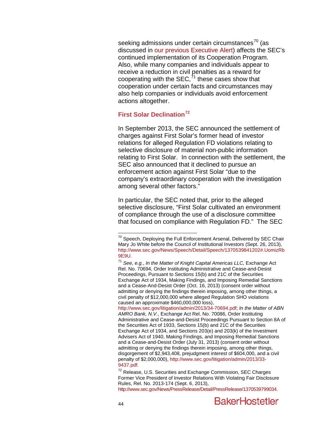seeking admissions under certain circumstances $70$  (as discussed in [our previous Executive Alert\)](http://www.bakerlaw.com/alerts/the-falcone-settlement-a-harbinger-of-things-to-come-9-3-2013/) affects the SEC's continued implementation of its Cooperation Program. Also, while many companies and individuals appear to receive a reduction in civil penalties as a reward for cooperating with the SEC, $^{71}$  $^{71}$  $^{71}$  these cases show that cooperation under certain facts and circumstances may also help companies or individuals avoid enforcement actions altogether.

# **First Solar Declination[72](#page-44-1)**

In September 2013, the SEC announced the settlement of charges against First Solar's former head of investor relations for alleged Regulation FD violations relating to selective disclosure of material non-public information relating to First Solar. In connection with the settlement, the SEC also announced that it declined to pursue an enforcement action against First Solar "due to the company's extraordinary cooperation with the investigation among several other factors."

In particular, the SEC noted that, prior to the alleged selective disclosure, "First Solar cultivated an environment of compliance through the use of a disclosure committee that focused on compliance with Regulation FD." The SEC

<span id="page-44-2"></span>[http://www.sec.gov/litigation/admin/2013/34-70694.pdf;](http://www.sec.gov/litigation/admin/2013/34-70694.pdf) *In the Matter of ABN AMRO Bank, N.V.*, Exchange Act Rel. No. 70086, Order Instituting Administrative and Cease-and-Desist Proceedings Pursuant to Section 8A of the Securities Act of 1933, Sections 15(b) and 21C of the Securities Exchange Act of 1934, and Sections 203(e) and 203(k) of the Investment Advisers Act of 1940, Making Findings, and Imposing Remedial Sanctions and a Cease-and-Desist Order (July 31, 2013) (consent order without admitting or denying the findings therein imposing, among other things, disgorgement of \$2,943,408, prejudgment interest of \$604,000, and a civil penalty of \$2,000,000)[, http://www.sec.gov/litigation/admin/2013/33-](http://www.sec.gov/litigation/admin/2013/33-9437.pdf) [9437.pdf.](http://www.sec.gov/litigation/admin/2013/33-9437.pdf)

 $70$  Speech, Deploying the Full Enforcement Arsenal, Delivered by SEC Chair Mary Jo White before the Council of Institutional Investors (Sept. 26, 2013), [http://www.sec.gov/News/Speech/Detail/Speech/1370539841202#.UomizRb](http://www.sec.gov/News/Speech/Detail/Speech/1370539841202#.UomizRb9E9U) [9E9U.](http://www.sec.gov/News/Speech/Detail/Speech/1370539841202#.UomizRb9E9U)

<span id="page-44-0"></span><sup>71</sup> *See, e.g.*, *In the Matter of Knight Capital Americas LLC,* Exchange Act Rel. No. 70694, Order Instituting Administrative and Cease-and-Desist Proceedings, Pursuant to Sections 15(b) and 21C of the Securities Exchange Act of 1934, Making Findings, and Imposing Remedial Sanctions and a Cease-And-Desist Order (Oct. 16, 2013) (consent order without admitting or denying the findings therein imposing, among other things, a civil penalty of \$12,000,000 where alleged Regulation SHO violations caused an approximate \$460,000,000 loss),

<span id="page-44-1"></span> $72$  Release, U.S. Securities and Exchange Commission, SEC Charges Former Vice President of Investor Relations With Violating Fair Disclosure Rules, Rel. No. 2013-174 (Sept. 6, 2013), [http://www.sec.gov/News/PressRelease/Detail/PressRelease/1370539799034.](http://www.sec.gov/News/PressRelease/Detail/PressRelease/1370539799034)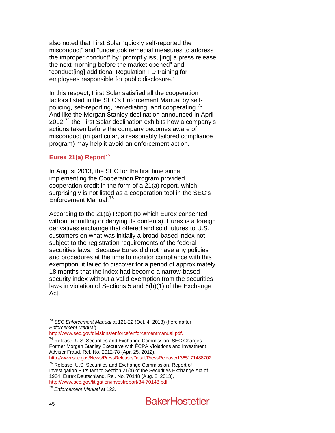also noted that First Solar "quickly self-reported the misconduct" and "undertook remedial measures to address the improper conduct" by "promptly issu[ing] a press release the next morning before the market opened" and "conduct[ing] additional Regulation FD training for employees responsible for public disclosure."

In this respect, First Solar satisfied all the cooperation factors listed in the SEC's Enforcement Manual by self-policing, self-reporting, remediating, and cooperating.<sup>[73](#page-44-2)</sup> And like the Morgan Stanley declination announced in April 2012,<sup>[74](#page-45-0)</sup> the First Solar declination exhibits how a company's actions taken before the company becomes aware of misconduct (in particular, a reasonably tailored compliance program) may help it avoid an enforcement action.

# **Eurex 21(a) Report[75](#page-45-1)**

In August 2013, the SEC for the first time since implementing the Cooperation Program provided cooperation credit in the form of a 21(a) report, which surprisingly is not listed as a cooperation tool in the SEC's Enforcement Manual.<sup>[76](#page-45-2)</sup>

According to the 21(a) Report (to which Eurex consented without admitting or denying its contents), Eurex is a foreign derivatives exchange that offered and sold futures to U.S. customers on what was initially a broad-based index not subject to the registration requirements of the federal securities laws. Because Eurex did not have any policies and procedures at the time to monitor compliance with this exemption, it failed to discover for a period of approximately 18 months that the index had become a narrow-based security index without a valid exemption from the securities laws in violation of Sections 5 and 6(h)(1) of the Exchange Act.

 <sup>73</sup> *SEC Enforcement Manual* at 121-22 (Oct. 4, 2013) (hereinafter *Enforcement Manual*),

<span id="page-45-0"></span> $174$  $174$  Release, U.S. Securities and Exchange Commission, SEC Charges Former Morgan Stanley Executive with FCPA Violations and Investment Adviser Fraud, Rel. No. 2012-78 (Apr. 25, 2012),<br>http://www.sec.gov/News/PressRelease/Detail/PressRelease/1365171488702.

<span id="page-45-1"></span><sup>&</sup>lt;sup>75</sup> Release, U.S. Securities and Exchange Commission, Report of Investigation Pursuant to Section 21(a) of the Securities Exchange Act of 1934: Eurex Deutschland, Rel. No. 70148 (Aug. 8, 2013), [http://www.sec.gov/litigation/investreport/34-70148.pdf.](http://www.sec.gov/litigation/investreport/34-70148.pdf) [76](http://www.sec.gov/litigation/investreport/34-70148.pdf) *Enforcement Manual* at 122.

<span id="page-45-3"></span><span id="page-45-2"></span>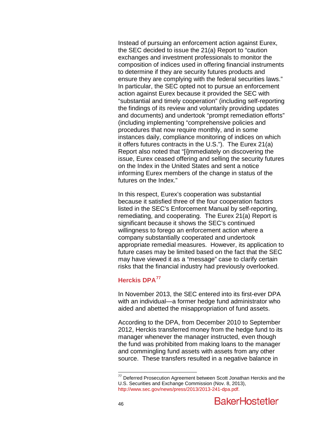Instead of pursuing an enforcement action against Eurex, the SEC decided to issue the 21(a) Report to "caution exchanges and investment professionals to monitor the composition of indices used in offering financial instruments to determine if they are security futures products and ensure they are complying with the federal securities laws." In particular, the SEC opted not to pursue an enforcement action against Eurex because it provided the SEC with "substantial and timely cooperation" (including self-reporting the findings of its review and voluntarily providing updates and documents) and undertook "prompt remediation efforts" (including implementing "comprehensive policies and procedures that now require monthly, and in some instances daily, compliance monitoring of indices on which it offers futures contracts in the U.S."). The Eurex 21(a) Report also noted that "[i]mmediately on discovering the issue, Eurex ceased offering and selling the security futures on the Index in the United States and sent a notice informing Eurex members of the change in status of the futures on the Index."

In this respect, Eurex's cooperation was substantial because it satisfied three of the four cooperation factors listed in the SEC's Enforcement Manual by self-reporting, remediating, and cooperating. The Eurex 21(a) Report is significant because it shows the SEC's continued willingness to forego an enforcement action where a company substantially cooperated and undertook appropriate remedial measures. However, its application to future cases may be limited based on the fact that the SEC may have viewed it as a "message" case to clarify certain risks that the financial industry had previously overlooked.

# <span id="page-46-0"></span>**Herckis DPA[77](#page-45-3)**

In November 2013, the SEC entered into its first-ever DPA with an individual—a former hedge fund administrator who aided and abetted the misappropriation of fund assets.

According to the DPA, from December 2010 to September 2012, Herckis transferred money from the hedge fund to its manager whenever the manager instructed, even though the fund was prohibited from making loans to the manager and commingling fund assets with assets from any other source. These transfers resulted in a negative balance in

 $77$  Deferred Prosecution Agreement between Scott Jonathan Herckis and the U.S. Securities and Exchange Commission (Nov. 8, 2013), [http://www.sec.gov/news/press/2013/2013-241-dpa.pdf.](http://www.sec.gov/news/press/2013/2013-241-dpa.pdf)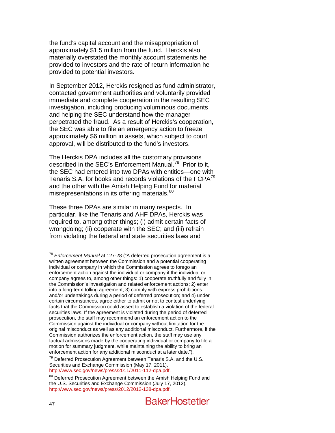the fund's capital account and the misappropriation of approximately \$1.5 million from the fund. Herckis also materially overstated the monthly account statements he provided to investors and the rate of return information he provided to potential investors.

In September 2012, Herckis resigned as fund administrator, contacted government authorities and voluntarily provided immediate and complete cooperation in the resulting SEC investigation, including producing voluminous documents and helping the SEC understand how the manager perpetrated the fraud. As a result of Herckis's cooperation, the SEC was able to file an emergency action to freeze approximately \$6 million in assets, which subject to court approval, will be distributed to the fund's investors.

The Herckis DPA includes all the customary provisions described in the SEC's Enforcement Manual.<sup>78</sup> Prior to it, the SEC had entered into two DPAs with entities—one with Tenaris S.A. for books and records violations of the FCPA<sup>[79](#page-47-0)</sup> and the other with the Amish Helping Fund for material misrepresentations in its offering materials.<sup>80</sup>

These three DPAs are similar in many respects. In particular, like the Tenaris and AHF DPAs, Herckis was required to, among other things; (i) admit certain facts of wrongdoing; (ii) cooperate with the SEC; and (iii) refrain from violating the federal and state securities laws and

<span id="page-47-2"></span> <sup>78</sup> *Enforcement Manual* at 127-28 ("A deferred prosecution agreement is a written agreement between the Commission and a potential cooperating individual or company in which the Commission agrees to forego an enforcement action against the individual or company if the individual or company agrees to, among other things: 1) cooperate truthfully and fully in the Commission's investigation and related enforcement actions; 2) enter into a long-term tolling agreement; 3) comply with express prohibitions and/or undertakings during a period of deferred prosecution; and 4) under certain circumstances, agree either to admit or not to contest underlying facts that the Commission could assert to establish a violation of the federal securities laws. If the agreement is violated during the period of deferred prosecution, the staff may recommend an enforcement action to the Commission against the individual or company without limitation for the original misconduct as well as any additional misconduct. Furthermore, if the Commission authorizes the enforcement action, the staff may use any factual admissions made by the cooperating individual or company to file a motion for summary judgment, while maintaining the ability to bring an enforcement action for any additional misconduct at a later date.").

<span id="page-47-0"></span> $79$  Deferred Prosecution Agreement between Tenaris S.A. and the U.S. Securities and Exchange Commission (May 17, 2011),<br>http://www.sec.gov/news/press/2011/2011-112-dpa.pdf.

<span id="page-47-1"></span> $80$  Deferred Prosecution Agreement between the Amish Helping Fund and the U.S. Securities and Exchange Commission (July 17, 2012), [http://www.sec.gov/news/press/2012/2012-138-dpa.pdf.](http://www.sec.gov/news/press/2012/2012-138-dpa.pdf)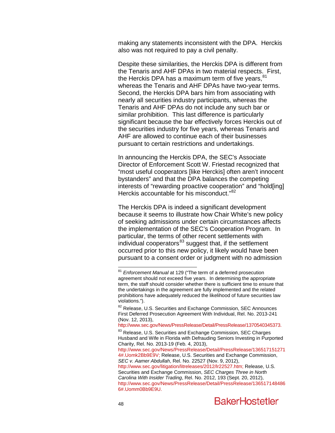making any statements inconsistent with the DPA. Herckis also was not required to pay a civil penalty.

Despite these similarities, the Herckis DPA is different from the Tenaris and AHF DPAs in two material respects. First, the Herckis DPA has a maximum term of five years.<sup>[81](#page-47-2)</sup> whereas the Tenaris and AHF DPAs have two-year terms. Second, the Herckis DPA bars him from associating with nearly all securities industry participants, whereas the Tenaris and AHF DPAs do not include any such bar or similar prohibition. This last difference is particularly significant because the bar effectively forces Herckis out of the securities industry for five years, whereas Tenaris and AHF are allowed to continue each of their businesses pursuant to certain restrictions and undertakings.

In announcing the Herckis DPA, the SEC's Associate Director of Enforcement Scott W. Friestad recognized that "most useful cooperators [like Herckis] often aren't innocent bystanders" and that the DPA balances the competing interests of "rewarding proactive cooperation" and "hold[ing] Herckis accountable for his misconduct."[82](#page-48-0)

The Herckis DPA is indeed a significant development because it seems to illustrate how Chair White's new policy of seeking admissions under certain circumstances affects the implementation of the SEC's Cooperation Program. In particular, the terms of other recent settlements with individual cooperators<sup>[83](#page-48-1)</sup> suggest that, if the settlement occurred prior to this new policy, it likely would have been pursuant to a consent order or judgment with no admission

[http://www.sec.gov/litigation/litreleases/2012/lr22527.htm;](http://www.sec.gov/litigation/litreleases/2012/lr22527.htm) Release, U.S. Securities and Exchange Commission, *SEC Charges Three in North Carolina With Insider Trading*, Rel. No. 2012, 193 (Sept. 20, 2012), [http://www.sec.gov/News/PressRelease/Detail/PressRelease/136517148486](http://www.sec.gov/News/PressRelease/Detail/PressRelease/1365171484866#.Uomm0Bb9E9U) [6#.Uomm0Bb9E9U.](http://www.sec.gov/News/PressRelease/Detail/PressRelease/1365171484866#.Uomm0Bb9E9U)



 <sup>81</sup> *Enforcement Manual* at 129 ("The term of a deferred prosecution agreement should not exceed five years. In determining the appropriate term, the staff should consider whether there is sufficient time to ensure that the undertakings in the agreement are fully implemented and the related prohibitions have adequately reduced the likelihood of future securities law violations.").

<span id="page-48-0"></span> $82$  Release, U.S. Securities and Exchange Commission, SEC Announces First Deferred Prosecution Agreement With Individual, Rel. No. 2013-241 (Nov. 12, 2013),

[http://www.sec.gov/News/PressRelease/Detail/PressRelease/1370540345373.](http://www.sec.gov/News/PressRelease/Detail/PressRelease/1370540345373)

<span id="page-48-2"></span><span id="page-48-1"></span><sup>&</sup>lt;sup>83</sup> Release, U.S. Securities and Exchange Commission, SEC Charges Husband and Wife in Florida with Defrauding Seniors Investing in Purported Charity, Rel. No. 2013-19 (Feb. 4, 2013),

[http://www.sec.gov/News/PressRelease/Detail/PressRelease/136517151271](http://www.sec.gov/News/PressRelease/Detail/PressRelease/1365171512714#.Uomk2Bb9E9V) [4#.Uomk2Bb9E9V;](http://www.sec.gov/News/PressRelease/Detail/PressRelease/1365171512714#.Uomk2Bb9E9V) Release, U.S. Securities and Exchange Commission, *SEC v. Aamer Abdullah*, Rel. No. 22527 (Nov. 9, 2012),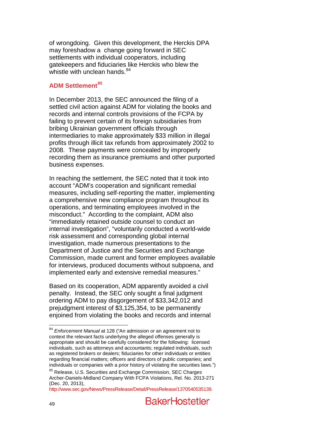of wrongdoing. Given this development, the Herckis DPA may foreshadow a change going forward in SEC settlements with individual cooperators, including gatekeepers and fiduciaries like Herckis who blew the whistle with unclean hands.<sup>[84](#page-48-2)</sup>

# **ADM Settlement[85](#page-49-0)**

In December 2013, the SEC announced the filing of a settled civil action against ADM for violating the books and records and internal controls provisions of the FCPA by failing to prevent certain of its foreign subsidiaries from bribing Ukrainian government officials through intermediaries to make approximately \$33 million in illegal profits through illicit tax refunds from approximately 2002 to 2008. These payments were concealed by improperly recording them as insurance premiums and other purported business expenses.

In reaching the settlement, the SEC noted that it took into account "ADM's cooperation and significant remedial measures, including self-reporting the matter, implementing a comprehensive new compliance program throughout its operations, and terminating employees involved in the misconduct." According to the complaint, ADM also "immediately retained outside counsel to conduct an internal investigation", "voluntarily conducted a world-wide risk assessment and corresponding global internal investigation, made numerous presentations to the Department of Justice and the Securities and Exchange Commission, made current and former employees available for interviews, produced documents without subpoena, and implemented early and extensive remedial measures."

Based on its cooperation, ADM apparently avoided a civil penalty. Instead, the SEC only sought a final judgment ordering ADM to pay disgorgement of \$33,342,012 and prejudgment interest of \$3,125,354, to be permanently enjoined from violating the books and records and internal

 <sup>84</sup> *Enforcement Manual* at 128 ("An admission or an agreement not to context the relevant facts underlying the alleged offenses generally is appropriate and should be carefully considered for the following: licensed individuals, such as attorneys and accountants; regulated individuals, such as registered brokers or dealers; fiduciaries for other individuals or entities regarding financial matters; officers and directors of public companies; and individuals or companies with a prior history of violating the securities laws.")

<span id="page-49-0"></span><sup>&</sup>lt;sup>85</sup> Release, U.S. Securities and Exchange Commission, SEC Charges Archer-Daniels-Midland Company With FCPA Violations, Rel. No. 2013-271 (Dec. 20, 2013),

[http://www.sec.gov/News/PressRelease/Detail/PressRelease/1370540535139.](http://www.sec.gov/News/PressRelease/Detail/PressRelease/1370540535139)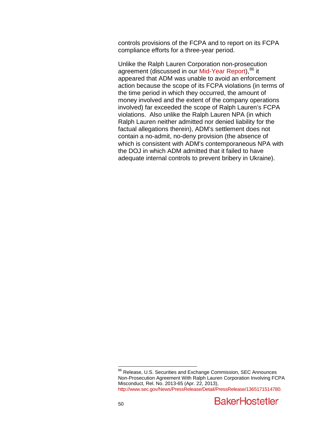controls provisions of the FCPA and to report on its FCPA compliance efforts for a three-year period.

Unlike the Ralph Lauren Corporation non-prosecution agreement (discussed in our [Mid-Year Report\)](http://www.bakerlaw.com/files/Uploads/Documents/News/Alerts/Sec%20Lit/2013SecuritiesLitigationMidYearUpdate.pdf), <sup>[86](#page-49-0)</sup> it appeared that ADM was unable to avoid an enforcement action because the scope of its FCPA violations (in terms of the time period in which they occurred, the amount of money involved and the extent of the company operations involved) far exceeded the scope of Ralph Lauren's FCPA violations. Also unlike the Ralph Lauren NPA (in which Ralph Lauren neither admitted nor denied liability for the factual allegations therein), ADM's settlement does not contain a no-admit, no-deny provision (the absence of which is consistent with ADM's contemporaneous NPA with the DOJ in which ADM admitted that it failed to have adequate internal controls to prevent bribery in Ukraine).

<sup>&</sup>lt;sup>86</sup> Release, U.S. Securities and Exchange Commission, SEC Announces Non-Prosecution Agreement With Ralph Lauren Corporation Involving FCPA Misconduct, Rel. No. 2013-65 (Apr. 22, 2013), [http://www.sec.gov/News/PressRelease/Detail/PressRelease/1365171514780.](http://www.sec.gov/News/PressRelease/Detail/PressRelease/1365171514780)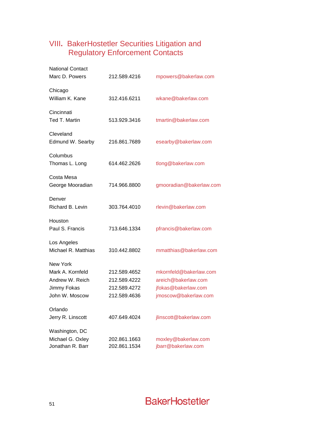# VIII**.** BakerHostetler Securities Litigation and Regulatory Enforcement Contacts

| <b>National Contact</b><br>Marc D. Powers | 212.589.4216 | mpowers@bakerlaw.com    |
|-------------------------------------------|--------------|-------------------------|
| Chicago<br>William K. Kane                | 312.416.6211 | wkane@bakerlaw.com      |
| Cincinnati<br>Ted T. Martin               | 513.929.3416 | tmartin@bakerlaw.com    |
| Cleveland<br>Edmund W. Searby             | 216.861.7689 | esearby@bakerlaw.com    |
| Columbus<br>Thomas L. Long                | 614.462.2626 | tlong@bakerlaw.com      |
| Costa Mesa<br>George Mooradian            | 714.966.8800 | gmooradian@bakerlaw.com |
| Denver<br>Richard B. Levin                | 303.764.4010 | rlevin@bakerlaw.com     |
| Houston<br>Paul S. Francis                | 713.646.1334 | pfrancis@bakerlaw.com   |
| Los Angeles<br>Michael R. Matthias        | 310.442.8802 | mmatthias@bakerlaw.com  |
| New York<br>Mark A. Kornfeld              | 212.589.4652 | mkornfeld@bakerlaw.com  |
| Andrew W. Reich                           | 212.589.4222 | areich@bakerlaw.com     |
| Jimmy Fokas                               | 212.589.4272 | ifokas@bakerlaw.com     |
| John W. Moscow                            | 212.589.4636 | jmoscow@bakerlaw.com    |
| Orlando                                   |              |                         |
| Jerry R. Linscott                         | 407.649.4024 | jlinscott@bakerlaw.com  |
| Washington, DC                            |              |                         |
| Michael G. Oxley                          | 202.861.1663 | moxley@bakerlaw.com     |
| Jonathan R. Barr                          | 202.861.1534 | jbarr@bakerlaw.com      |